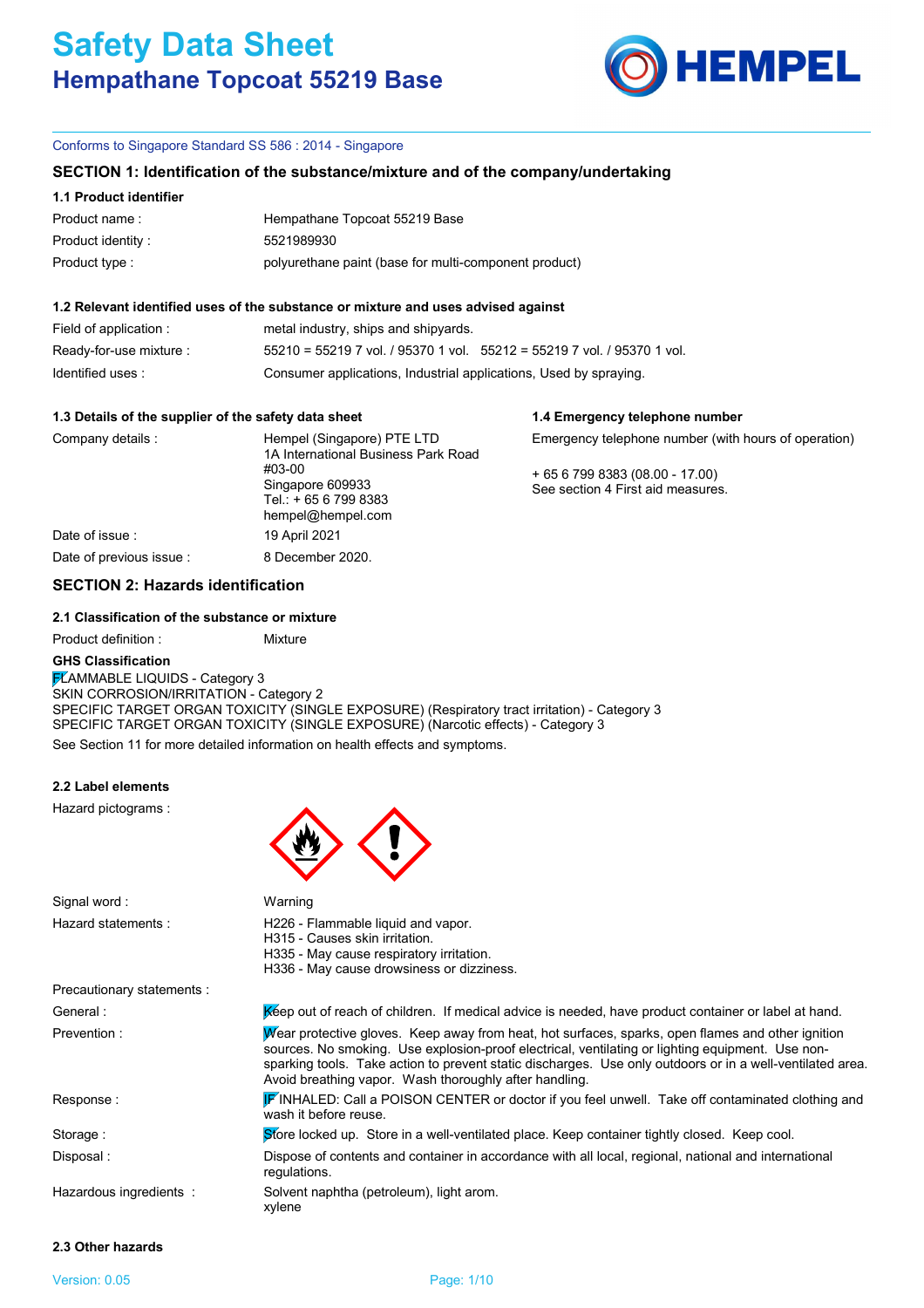# **Safety Data Sheet Hempathane Topcoat 55219 Base**



**1.4 Emergency telephone number**

## Conforms to Singapore Standard SS 586 : 2014 - Singapore

## **SECTION 1: Identification of the substance/mixture and of the company/undertaking**

## **1.1 Product identifier**

| Product name:      | Hempathane Topcoat 55219 Base                         |
|--------------------|-------------------------------------------------------|
| Product identity : | 5521989930                                            |
| Product type :     | polyurethane paint (base for multi-component product) |

#### **1.2 Relevant identified uses of the substance or mixture and uses advised against**

| Field of application :  | metal industry, ships and shipyards.                                        |
|-------------------------|-----------------------------------------------------------------------------|
| Ready-for-use mixture : | $55210 = 55219$ 7 vol. / 95370 1 vol. $55212 = 55219$ 7 vol. / 95370 1 vol. |
| Identified uses:        | Consumer applications, Industrial applications, Used by spraying.           |

#### **1.3 Details of the supplier of the safety data sheet**

| Company details :        | Hempel (Singapore) PTE LTD<br>1A International Business Park Road       | Emergency telephone number (with hours of operation)              |
|--------------------------|-------------------------------------------------------------------------|-------------------------------------------------------------------|
|                          | #03-00<br>Singapore 609933<br>Tel.: +65 6 799 8383<br>hempel@hempel.com | $+6567998383(08.00 - 17.00)$<br>See section 4 First aid measures. |
| Date of issue:           | 19 April 2021                                                           |                                                                   |
| Date of previous issue : | 8 December 2020.                                                        |                                                                   |

# **SECTION 2: Hazards identification**

# **2.1 Classification of the substance or mixture**

Product definition : Mixture

## **GHS Classification**

See Section 11 for more detailed information on health effects and symptoms. **FLAMMABLE LIQUIDS - Category 3** SKIN CORROSION/IRRITATION - Category 2 SPECIFIC TARGET ORGAN TOXICITY (SINGLE EXPOSURE) (Respiratory tract irritation) - Category 3 SPECIFIC TARGET ORGAN TOXICITY (SINGLE EXPOSURE) (Narcotic effects) - Category 3

### **2.2 Label elements**

Hazard pictograms :



| Signal word:               | Warning                                                                                                                                                                                                                                                                                                                                                                      |
|----------------------------|------------------------------------------------------------------------------------------------------------------------------------------------------------------------------------------------------------------------------------------------------------------------------------------------------------------------------------------------------------------------------|
| Hazard statements:         | H226 - Flammable liquid and vapor.<br>H315 - Causes skin irritation.<br>H335 - May cause respiratory irritation.<br>H336 - May cause drowsiness or dizziness.                                                                                                                                                                                                                |
| Precautionary statements : |                                                                                                                                                                                                                                                                                                                                                                              |
| General :                  | Kéep out of reach of children. If medical advice is needed, have product container or label at hand.                                                                                                                                                                                                                                                                         |
| Prevention:                | Wear protective gloves. Keep away from heat, hot surfaces, sparks, open flames and other ignition<br>sources. No smoking. Use explosion-proof electrical, ventilating or lighting equipment. Use non-<br>sparking tools. Take action to prevent static discharges. Use only outdoors or in a well-ventilated area.<br>Avoid breathing vapor. Wash thoroughly after handling. |
| Response:                  | FINHALED: Call a POISON CENTER or doctor if you feel unwell. Take off contaminated clothing and<br>wash it before reuse.                                                                                                                                                                                                                                                     |
| Storage:                   | Store locked up. Store in a well-ventilated place. Keep container tightly closed. Keep cool.                                                                                                                                                                                                                                                                                 |
| Disposal :                 | Dispose of contents and container in accordance with all local, regional, national and international<br>regulations.                                                                                                                                                                                                                                                         |
| Hazardous ingredients :    | Solvent naphtha (petroleum), light arom.<br>xylene                                                                                                                                                                                                                                                                                                                           |

# **2.3 Other hazards**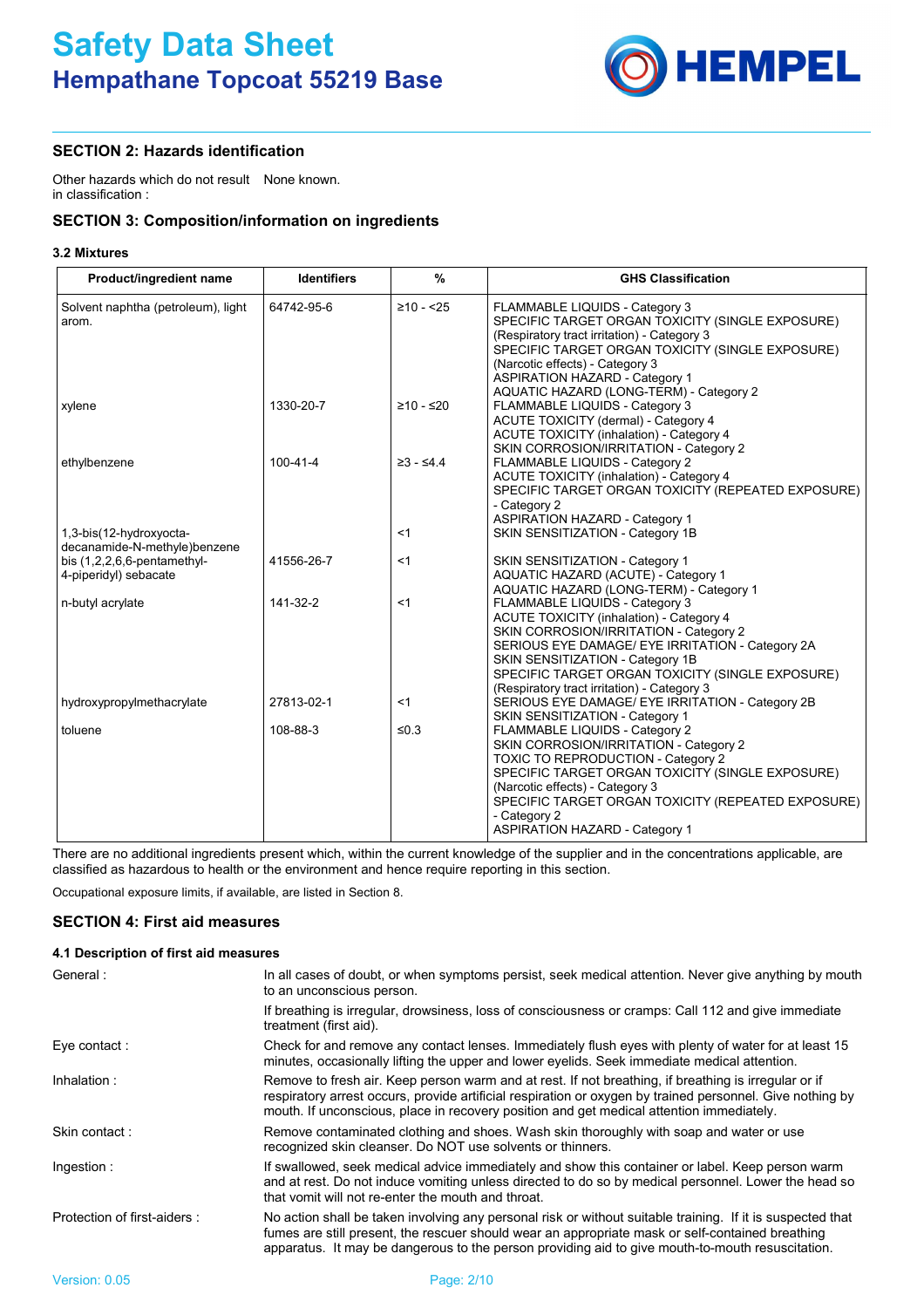

# **SECTION 2: Hazards identification**

Other hazards which do not result None known. in classification :

# **SECTION 3: Composition/information on ingredients**

## **3.2 Mixtures**

| Product/ingredient name                                 | <b>Identifiers</b> | %                   | <b>GHS Classification</b>                                                                                                                                                                                                                                                                                                   |
|---------------------------------------------------------|--------------------|---------------------|-----------------------------------------------------------------------------------------------------------------------------------------------------------------------------------------------------------------------------------------------------------------------------------------------------------------------------|
| Solvent naphtha (petroleum), light<br>arom.             | 64742-95-6         | $\geq 10 - 25$      | <b>FLAMMABLE LIQUIDS - Category 3</b><br>SPECIFIC TARGET ORGAN TOXICITY (SINGLE EXPOSURE)<br>(Respiratory tract irritation) - Category 3<br>SPECIFIC TARGET ORGAN TOXICITY (SINGLE EXPOSURE)<br>(Narcotic effects) - Category 3<br><b>ASPIRATION HAZARD - Category 1</b><br>AQUATIC HAZARD (LONG-TERM) - Category 2         |
| xylene                                                  | 1330-20-7          | $≥10 - ≤20$         | FLAMMABLE LIQUIDS - Category 3<br>ACUTE TOXICITY (dermal) - Category 4<br><b>ACUTE TOXICITY (inhalation) - Category 4</b><br>SKIN CORROSION/IRRITATION - Category 2                                                                                                                                                         |
| ethylbenzene                                            | $100 - 41 - 4$     | $\geq 3 - \leq 4.4$ | FLAMMABLE LIQUIDS - Category 2<br>ACUTE TOXICITY (inhalation) - Category 4<br>SPECIFIC TARGET ORGAN TOXICITY (REPEATED EXPOSURE)<br>- Category 2<br><b>ASPIRATION HAZARD - Category 1</b>                                                                                                                                   |
| 1,3-bis(12-hydroxyocta-<br>decanamide-N-methyle)benzene |                    | $<$ 1               | SKIN SENSITIZATION - Category 1B                                                                                                                                                                                                                                                                                            |
| bis $(1,2,2,6,6$ -pentamethyl-<br>4-piperidyl) sebacate | 41556-26-7         | <1                  | SKIN SENSITIZATION - Category 1<br>AQUATIC HAZARD (ACUTE) - Category 1<br>AQUATIC HAZARD (LONG-TERM) - Category 1                                                                                                                                                                                                           |
| n-butyl acrylate                                        | 141-32-2           | $<$ 1               | FLAMMABLE LIQUIDS - Category 3<br><b>ACUTE TOXICITY (inhalation) - Category 4</b><br>SKIN CORROSION/IRRITATION - Category 2<br>SERIOUS EYE DAMAGE/ EYE IRRITATION - Category 2A<br>SKIN SENSITIZATION - Category 1B<br>SPECIFIC TARGET ORGAN TOXICITY (SINGLE EXPOSURE)<br>(Respiratory tract irritation) - Category 3      |
| hydroxypropylmethacrylate                               | 27813-02-1         | <1                  | SERIOUS EYE DAMAGE/ EYE IRRITATION - Category 2B<br>SKIN SENSITIZATION - Category 1                                                                                                                                                                                                                                         |
| toluene                                                 | 108-88-3           | $\leq 0.3$          | FLAMMABLE LIQUIDS - Category 2<br>SKIN CORROSION/IRRITATION - Category 2<br><b>TOXIC TO REPRODUCTION - Category 2</b><br>SPECIFIC TARGET ORGAN TOXICITY (SINGLE EXPOSURE)<br>(Narcotic effects) - Category 3<br>SPECIFIC TARGET ORGAN TOXICITY (REPEATED EXPOSURE)<br>- Category 2<br><b>ASPIRATION HAZARD - Category 1</b> |

There are no additional ingredients present which, within the current knowledge of the supplier and in the concentrations applicable, are classified as hazardous to health or the environment and hence require reporting in this section.

Occupational exposure limits, if available, are listed in Section 8.

# **SECTION 4: First aid measures**

# **4.1 Description of first aid measures**

| General :                   | In all cases of doubt, or when symptoms persist, seek medical attention. Never give anything by mouth<br>to an unconscious person.                                                                                                                                                                                 |
|-----------------------------|--------------------------------------------------------------------------------------------------------------------------------------------------------------------------------------------------------------------------------------------------------------------------------------------------------------------|
|                             | If breathing is irregular, drowsiness, loss of consciousness or cramps: Call 112 and give immediate<br>treatment (first aid).                                                                                                                                                                                      |
| Eye contact:                | Check for and remove any contact lenses. Immediately flush eyes with plenty of water for at least 15<br>minutes, occasionally lifting the upper and lower eyelids. Seek immediate medical attention.                                                                                                               |
| Inhalation:                 | Remove to fresh air. Keep person warm and at rest. If not breathing, if breathing is irregular or if<br>respiratory arrest occurs, provide artificial respiration or oxygen by trained personnel. Give nothing by<br>mouth. If unconscious, place in recovery position and get medical attention immediately.      |
| Skin contact:               | Remove contaminated clothing and shoes. Wash skin thoroughly with soap and water or use<br>recognized skin cleanser. Do NOT use solvents or thinners.                                                                                                                                                              |
| Ingestion:                  | If swallowed, seek medical advice immediately and show this container or label. Keep person warm<br>and at rest. Do not induce vomiting unless directed to do so by medical personnel. Lower the head so<br>that vomit will not re-enter the mouth and throat.                                                     |
| Protection of first-aiders: | No action shall be taken involving any personal risk or without suitable training. If it is suspected that<br>fumes are still present, the rescuer should wear an appropriate mask or self-contained breathing<br>apparatus. It may be dangerous to the person providing aid to give mouth-to-mouth resuscitation. |
|                             |                                                                                                                                                                                                                                                                                                                    |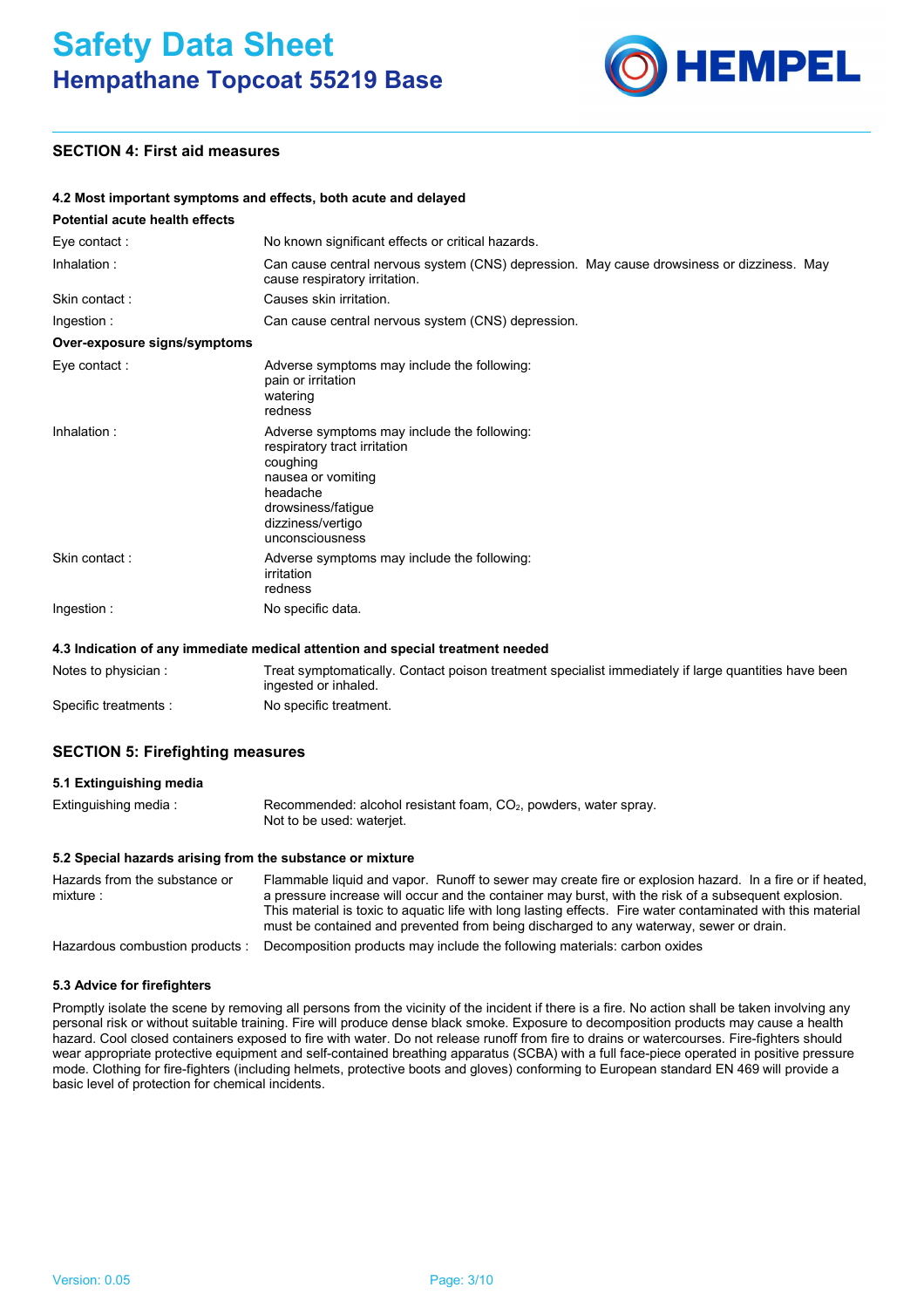

# **SECTION 4: First aid measures**

## **4.2 Most important symptoms and effects, both acute and delayed**

| Potential acute health effects |                                                                                                                                                                                         |
|--------------------------------|-----------------------------------------------------------------------------------------------------------------------------------------------------------------------------------------|
| Eye contact:                   | No known significant effects or critical hazards.                                                                                                                                       |
| Inhalation:                    | Can cause central nervous system (CNS) depression. May cause drowsiness or dizziness. May<br>cause respiratory irritation.                                                              |
| Skin contact:                  | Causes skin irritation.                                                                                                                                                                 |
| Ingestion:                     | Can cause central nervous system (CNS) depression.                                                                                                                                      |
| Over-exposure signs/symptoms   |                                                                                                                                                                                         |
| Eye contact :                  | Adverse symptoms may include the following:<br>pain or irritation<br>watering<br>redness                                                                                                |
| Inhalation:                    | Adverse symptoms may include the following:<br>respiratory tract irritation<br>coughing<br>nausea or vomiting<br>headache<br>drowsiness/fatigue<br>dizziness/vertigo<br>unconsciousness |
| Skin contact:                  | Adverse symptoms may include the following:<br>irritation<br>redness                                                                                                                    |
| Ingestion:                     | No specific data.                                                                                                                                                                       |

#### **4.3 Indication of any immediate medical attention and special treatment needed**

| Notes to physician :  | Treat symptomatically. Contact poison treatment specialist immediately if large quantities have been<br>ingested or inhaled. |
|-----------------------|------------------------------------------------------------------------------------------------------------------------------|
| Specific treatments : | No specific treatment.                                                                                                       |

## **SECTION 5: Firefighting measures**

#### **5.1 Extinguishing media**

| Extinguishing media : | Recommended: alcohol resistant foam, $CO2$ , powders, water spray. |  |
|-----------------------|--------------------------------------------------------------------|--|
|                       | Not to be used: waterjet.                                          |  |

## **5.2 Special hazards arising from the substance or mixture**

| Hazards from the substance or   | Flammable liquid and vapor. Runoff to sewer may create fire or explosion hazard. In a fire or if heated,                                                                                               |
|---------------------------------|--------------------------------------------------------------------------------------------------------------------------------------------------------------------------------------------------------|
| mixture:                        | a pressure increase will occur and the container may burst, with the risk of a subsequent explosion.                                                                                                   |
|                                 | This material is toxic to aquatic life with long lasting effects. Fire water contaminated with this material<br>must be contained and prevented from being discharged to any waterway, sewer or drain. |
| Hazardous combustion products : | Decomposition products may include the following materials: carbon oxides                                                                                                                              |

#### **5.3 Advice for firefighters**

Promptly isolate the scene by removing all persons from the vicinity of the incident if there is a fire. No action shall be taken involving any personal risk or without suitable training. Fire will produce dense black smoke. Exposure to decomposition products may cause a health hazard. Cool closed containers exposed to fire with water. Do not release runoff from fire to drains or watercourses. Fire-fighters should wear appropriate protective equipment and self-contained breathing apparatus (SCBA) with a full face-piece operated in positive pressure mode. Clothing for fire-fighters (including helmets, protective boots and gloves) conforming to European standard EN 469 will provide a basic level of protection for chemical incidents.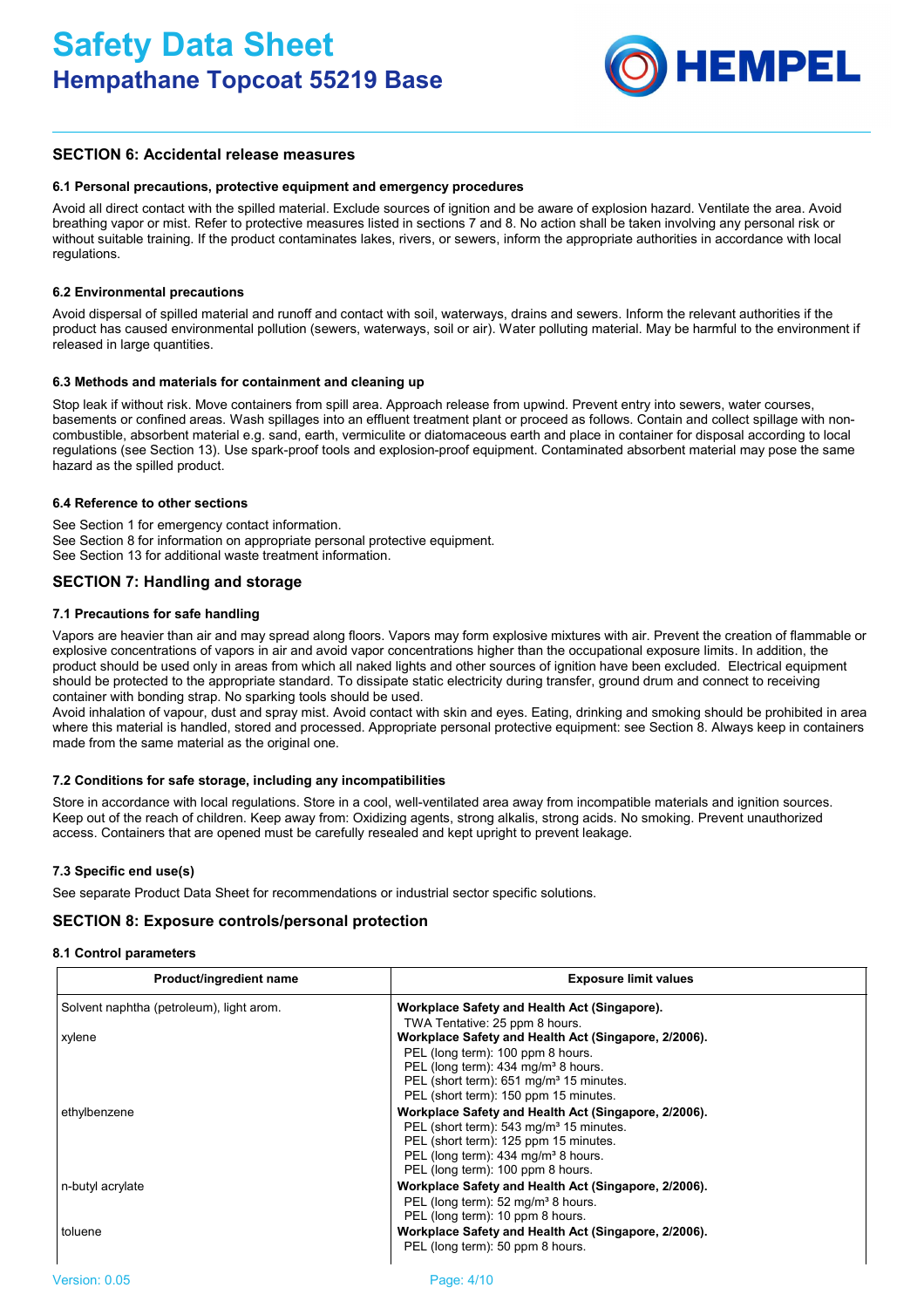

# **SECTION 6: Accidental release measures**

#### **6.1 Personal precautions, protective equipment and emergency procedures**

Avoid all direct contact with the spilled material. Exclude sources of ignition and be aware of explosion hazard. Ventilate the area. Avoid breathing vapor or mist. Refer to protective measures listed in sections 7 and 8. No action shall be taken involving any personal risk or without suitable training. If the product contaminates lakes, rivers, or sewers, inform the appropriate authorities in accordance with local regulations.

## **6.2 Environmental precautions**

Avoid dispersal of spilled material and runoff and contact with soil, waterways, drains and sewers. Inform the relevant authorities if the product has caused environmental pollution (sewers, waterways, soil or air). Water polluting material. May be harmful to the environment if released in large quantities.

## **6.3 Methods and materials for containment and cleaning up**

Stop leak if without risk. Move containers from spill area. Approach release from upwind. Prevent entry into sewers, water courses, basements or confined areas. Wash spillages into an effluent treatment plant or proceed as follows. Contain and collect spillage with noncombustible, absorbent material e.g. sand, earth, vermiculite or diatomaceous earth and place in container for disposal according to local regulations (see Section 13). Use spark-proof tools and explosion-proof equipment. Contaminated absorbent material may pose the same hazard as the spilled product.

## **6.4 Reference to other sections**

See Section 1 for emergency contact information. See Section 8 for information on appropriate personal protective equipment. See Section 13 for additional waste treatment information.

# **SECTION 7: Handling and storage**

## **7.1 Precautions for safe handling**

Vapors are heavier than air and may spread along floors. Vapors may form explosive mixtures with air. Prevent the creation of flammable or explosive concentrations of vapors in air and avoid vapor concentrations higher than the occupational exposure limits. In addition, the product should be used only in areas from which all naked lights and other sources of ignition have been excluded. Electrical equipment should be protected to the appropriate standard. To dissipate static electricity during transfer, ground drum and connect to receiving container with bonding strap. No sparking tools should be used.

Avoid inhalation of vapour, dust and spray mist. Avoid contact with skin and eyes. Eating, drinking and smoking should be prohibited in area where this material is handled, stored and processed. Appropriate personal protective equipment: see Section 8. Always keep in containers made from the same material as the original one.

#### **7.2 Conditions for safe storage, including any incompatibilities**

Store in accordance with local regulations. Store in a cool, well-ventilated area away from incompatible materials and ignition sources. Keep out of the reach of children. Keep away from: Oxidizing agents, strong alkalis, strong acids. No smoking. Prevent unauthorized access. Containers that are opened must be carefully resealed and kept upright to prevent leakage.

#### **7.3 Specific end use(s)**

See separate Product Data Sheet for recommendations or industrial sector specific solutions.

## **SECTION 8: Exposure controls/personal protection**

#### **8.1 Control parameters**

| Product/ingredient name                  | <b>Exposure limit values</b>                                                                                |
|------------------------------------------|-------------------------------------------------------------------------------------------------------------|
| Solvent naphtha (petroleum), light arom. | Workplace Safety and Health Act (Singapore).                                                                |
|                                          | TWA Tentative: 25 ppm 8 hours.                                                                              |
| xylene                                   | Workplace Safety and Health Act (Singapore, 2/2006).                                                        |
|                                          | PEL (long term): 100 ppm 8 hours.                                                                           |
|                                          | PEL (long term): 434 mg/m <sup>3</sup> 8 hours.                                                             |
|                                          | PEL (short term): 651 mg/m <sup>3</sup> 15 minutes.                                                         |
|                                          | PEL (short term): 150 ppm 15 minutes.                                                                       |
| ethylbenzene                             | Workplace Safety and Health Act (Singapore, 2/2006).<br>PEL (short term): 543 mg/m <sup>3</sup> 15 minutes. |
|                                          | PEL (short term): 125 ppm 15 minutes.                                                                       |
|                                          | PEL (long term): 434 mg/m <sup>3</sup> 8 hours.                                                             |
|                                          | PEL (long term): 100 ppm 8 hours.                                                                           |
|                                          |                                                                                                             |
| n-butyl acrylate                         | Workplace Safety and Health Act (Singapore, 2/2006).                                                        |
|                                          | PEL (long term): 52 mg/m <sup>3</sup> 8 hours.                                                              |
|                                          | PEL (long term): 10 ppm 8 hours.                                                                            |
| toluene                                  | Workplace Safety and Health Act (Singapore, 2/2006).                                                        |
|                                          | PEL (long term): 50 ppm 8 hours.                                                                            |
|                                          |                                                                                                             |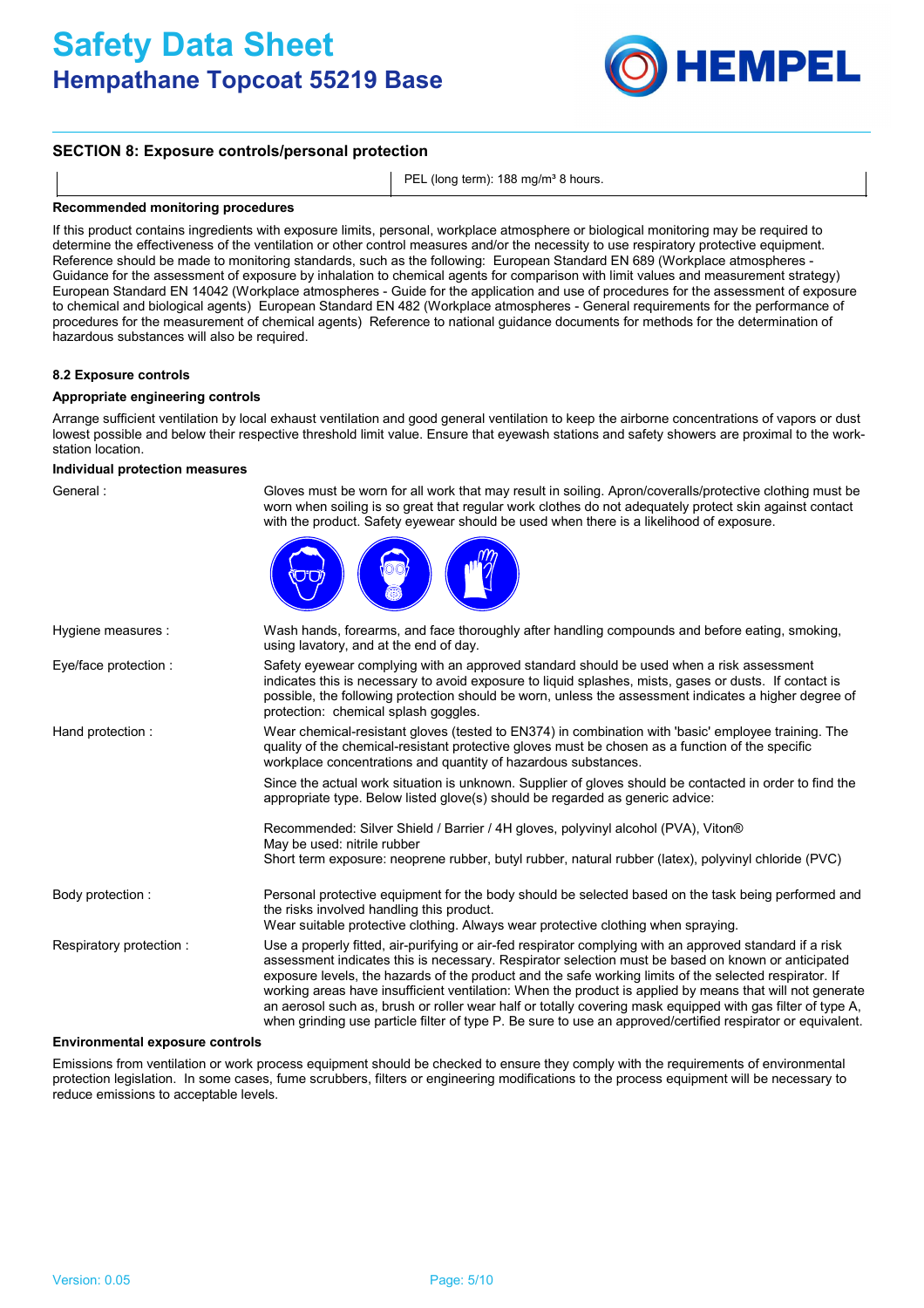# **Safety Data Sheet Hempathane Topcoat 55219 Base**



# **SECTION 8: Exposure controls/personal protection**

PEL (long term): 188 mg/m<sup>3</sup> 8 hours.

#### **Recommended monitoring procedures**

If this product contains ingredients with exposure limits, personal, workplace atmosphere or biological monitoring may be required to determine the effectiveness of the ventilation or other control measures and/or the necessity to use respiratory protective equipment. Reference should be made to monitoring standards, such as the following: European Standard EN 689 (Workplace atmospheres - Guidance for the assessment of exposure by inhalation to chemical agents for comparison with limit values and measurement strategy) European Standard EN 14042 (Workplace atmospheres - Guide for the application and use of procedures for the assessment of exposure to chemical and biological agents) European Standard EN 482 (Workplace atmospheres - General requirements for the performance of procedures for the measurement of chemical agents) Reference to national guidance documents for methods for the determination of hazardous substances will also be required.

#### **8.2 Exposure controls**

### **Appropriate engineering controls**

Arrange sufficient ventilation by local exhaust ventilation and good general ventilation to keep the airborne concentrations of vapors or dust lowest possible and below their respective threshold limit value. Ensure that eyewash stations and safety showers are proximal to the workstation location.

### **Individual protection measures**

| General :                | Gloves must be worn for all work that may result in soiling. Apron/coveralls/protective clothing must be<br>worn when soiling is so great that regular work clothes do not adequately protect skin against contact<br>with the product. Safety eyewear should be used when there is a likelihood of exposure.                                                                                                                                                                                                                                                                                                                                                     |
|--------------------------|-------------------------------------------------------------------------------------------------------------------------------------------------------------------------------------------------------------------------------------------------------------------------------------------------------------------------------------------------------------------------------------------------------------------------------------------------------------------------------------------------------------------------------------------------------------------------------------------------------------------------------------------------------------------|
|                          |                                                                                                                                                                                                                                                                                                                                                                                                                                                                                                                                                                                                                                                                   |
| Hygiene measures :       | Wash hands, forearms, and face thoroughly after handling compounds and before eating, smoking,<br>using lavatory, and at the end of day.                                                                                                                                                                                                                                                                                                                                                                                                                                                                                                                          |
| Eye/face protection :    | Safety eyewear complying with an approved standard should be used when a risk assessment<br>indicates this is necessary to avoid exposure to liquid splashes, mists, gases or dusts. If contact is<br>possible, the following protection should be worn, unless the assessment indicates a higher degree of<br>protection: chemical splash goggles.                                                                                                                                                                                                                                                                                                               |
| Hand protection:         | Wear chemical-resistant gloves (tested to EN374) in combination with 'basic' employee training. The<br>quality of the chemical-resistant protective gloves must be chosen as a function of the specific<br>workplace concentrations and quantity of hazardous substances.                                                                                                                                                                                                                                                                                                                                                                                         |
|                          | Since the actual work situation is unknown. Supplier of gloves should be contacted in order to find the<br>appropriate type. Below listed glove(s) should be regarded as generic advice:                                                                                                                                                                                                                                                                                                                                                                                                                                                                          |
|                          | Recommended: Silver Shield / Barrier / 4H gloves, polyvinyl alcohol (PVA), Viton®<br>May be used: nitrile rubber                                                                                                                                                                                                                                                                                                                                                                                                                                                                                                                                                  |
|                          | Short term exposure: neoprene rubber, butyl rubber, natural rubber (latex), polyvinyl chloride (PVC)                                                                                                                                                                                                                                                                                                                                                                                                                                                                                                                                                              |
| Body protection :        | Personal protective equipment for the body should be selected based on the task being performed and<br>the risks involved handling this product.<br>Wear suitable protective clothing. Always wear protective clothing when spraying.                                                                                                                                                                                                                                                                                                                                                                                                                             |
| Respiratory protection : | Use a properly fitted, air-purifying or air-fed respirator complying with an approved standard if a risk<br>assessment indicates this is necessary. Respirator selection must be based on known or anticipated<br>exposure levels, the hazards of the product and the safe working limits of the selected respirator. If<br>working areas have insufficient ventilation: When the product is applied by means that will not generate<br>an aerosol such as, brush or roller wear half or totally covering mask equipped with gas filter of type A,<br>when grinding use particle filter of type P. Be sure to use an approved/certified respirator or equivalent. |

## **Environmental exposure controls**

Emissions from ventilation or work process equipment should be checked to ensure they comply with the requirements of environmental protection legislation. In some cases, fume scrubbers, filters or engineering modifications to the process equipment will be necessary to reduce emissions to acceptable levels.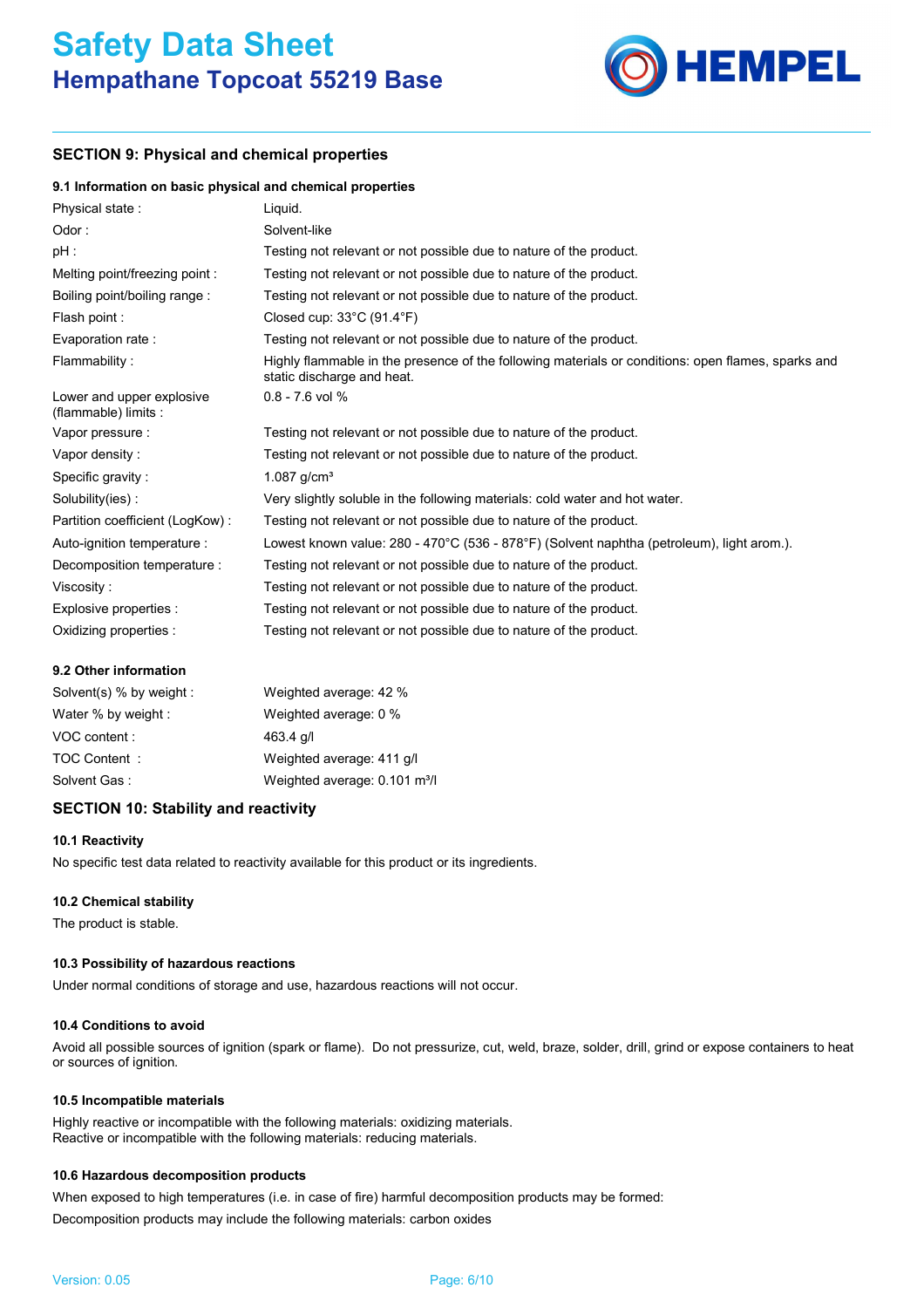

# **SECTION 9: Physical and chemical properties**

## **9.1 Information on basic physical and chemical properties**

| Physical state:                                   | Liguid.                                                                                                                          |
|---------------------------------------------------|----------------------------------------------------------------------------------------------------------------------------------|
| Odor:                                             | Solvent-like                                                                                                                     |
| pH :                                              | Testing not relevant or not possible due to nature of the product.                                                               |
| Melting point/freezing point:                     | Testing not relevant or not possible due to nature of the product.                                                               |
| Boiling point/boiling range:                      | Testing not relevant or not possible due to nature of the product.                                                               |
| Flash point :                                     | Closed cup: $33^{\circ}$ C (91.4 $^{\circ}$ F)                                                                                   |
| Evaporation rate :                                | Testing not relevant or not possible due to nature of the product.                                                               |
| Flammability:                                     | Highly flammable in the presence of the following materials or conditions: open flames, sparks and<br>static discharge and heat. |
| Lower and upper explosive<br>(flammable) limits : | $0.8 - 7.6$ vol %                                                                                                                |
| Vapor pressure :                                  | Testing not relevant or not possible due to nature of the product.                                                               |
| Vapor density:                                    | Testing not relevant or not possible due to nature of the product.                                                               |
| Specific gravity :                                | 1.087 $g/cm^{3}$                                                                                                                 |
| Solubility(ies):                                  | Very slightly soluble in the following materials: cold water and hot water.                                                      |
| Partition coefficient (LogKow):                   | Testing not relevant or not possible due to nature of the product.                                                               |
| Auto-ignition temperature :                       | Lowest known value: 280 - 470°C (536 - 878°F) (Solvent naphtha (petroleum), light arom.).                                        |
| Decomposition temperature :                       | Testing not relevant or not possible due to nature of the product.                                                               |
| Viscosity:                                        | Testing not relevant or not possible due to nature of the product.                                                               |
| Explosive properties :                            | Testing not relevant or not possible due to nature of the product.                                                               |
| Oxidizing properties :                            | Testing not relevant or not possible due to nature of the product.                                                               |

## **9.2 Other information**

| Solvent(s) % by weight : | Weighted average: 42 %                    |
|--------------------------|-------------------------------------------|
| Water % by weight :      | Weighted average: 0 %                     |
| VOC content:             | $463.4$ g/l                               |
| TOC Content:             | Weighted average: 411 g/l                 |
| Solvent Gas:             | Weighted average: 0.101 m <sup>3</sup> /l |

# **SECTION 10: Stability and reactivity**

## **10.1 Reactivity**

No specific test data related to reactivity available for this product or its ingredients.

## **10.2 Chemical stability**

The product is stable.

## **10.3 Possibility of hazardous reactions**

Under normal conditions of storage and use, hazardous reactions will not occur.

## **10.4 Conditions to avoid**

Avoid all possible sources of ignition (spark or flame). Do not pressurize, cut, weld, braze, solder, drill, grind or expose containers to heat or sources of ignition.

#### **10.5 Incompatible materials**

Highly reactive or incompatible with the following materials: oxidizing materials. Reactive or incompatible with the following materials: reducing materials.

## **10.6 Hazardous decomposition products**

When exposed to high temperatures (i.e. in case of fire) harmful decomposition products may be formed: Decomposition products may include the following materials: carbon oxides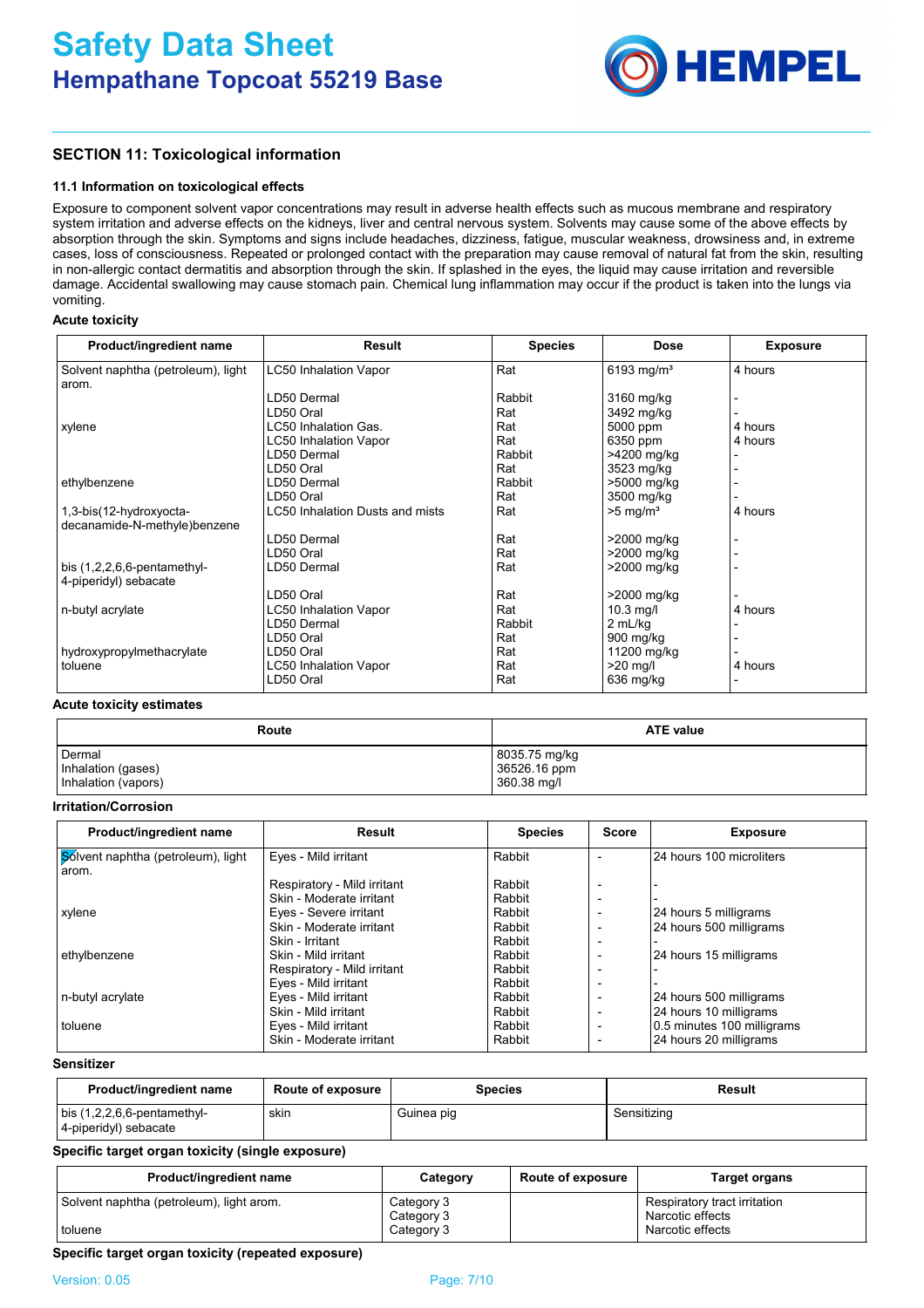

# **SECTION 11: Toxicological information**

#### **11.1 Information on toxicological effects**

Exposure to component solvent vapor concentrations may result in adverse health effects such as mucous membrane and respiratory system irritation and adverse effects on the kidneys, liver and central nervous system. Solvents may cause some of the above effects by absorption through the skin. Symptoms and signs include headaches, dizziness, fatigue, muscular weakness, drowsiness and, in extreme cases, loss of consciousness. Repeated or prolonged contact with the preparation may cause removal of natural fat from the skin, resulting in non-allergic contact dermatitis and absorption through the skin. If splashed in the eyes, the liquid may cause irritation and reversible damage. Accidental swallowing may cause stomach pain. Chemical lung inflammation may occur if the product is taken into the lungs via vomiting.

## **Acute toxicity**

| Product/ingredient name            | <b>Result</b>                   | <b>Species</b> | Dose                   | <b>Exposure</b> |
|------------------------------------|---------------------------------|----------------|------------------------|-----------------|
| Solvent naphtha (petroleum), light | <b>LC50 Inhalation Vapor</b>    | Rat            | 6193 mg/m <sup>3</sup> | 4 hours         |
| arom.                              |                                 |                |                        |                 |
|                                    | LD50 Dermal                     | Rabbit         | 3160 mg/kg             |                 |
|                                    | LD50 Oral                       | Rat            | 3492 mg/kg             |                 |
| xylene                             | LC50 Inhalation Gas.            | Rat            | 5000 ppm               | 4 hours         |
|                                    | <b>LC50 Inhalation Vapor</b>    | Rat            | 6350 ppm               | 4 hours         |
|                                    | LD50 Dermal                     | Rabbit         | >4200 mg/kg            |                 |
|                                    | LD50 Oral                       | Rat            | 3523 mg/kg             |                 |
| ethylbenzene                       | LD50 Dermal                     | Rabbit         | >5000 mg/kg            |                 |
|                                    | LD50 Oral                       | Rat            | 3500 mg/kg             |                 |
| 1,3-bis(12-hydroxyocta-            | LC50 Inhalation Dusts and mists | Rat            | $>5$ mg/m <sup>3</sup> | 4 hours         |
| decanamide-N-methyle)benzene       |                                 |                |                        |                 |
|                                    | LD50 Dermal                     | Rat            | >2000 mg/kg            |                 |
|                                    | LD50 Oral                       | Rat            | >2000 mg/kg            |                 |
| bis $(1,2,2,6,6$ -pentamethyl-     | LD50 Dermal                     | Rat            | >2000 mg/kg            |                 |
| 4-piperidyl) sebacate              |                                 |                |                        |                 |
|                                    | LD50 Oral                       | Rat            | >2000 mg/kg            |                 |
| n-butyl acrylate                   | <b>LC50 Inhalation Vapor</b>    | Rat            | $10.3$ mg/l            | 4 hours         |
|                                    | LD50 Dermal                     | Rabbit         | 2 mL/kg                |                 |
|                                    | LD50 Oral                       | Rat            | $900$ mg/kg            |                 |
| hydroxypropylmethacrylate          | LD50 Oral                       | Rat            | 11200 mg/kg            |                 |
| toluene                            | <b>LC50 Inhalation Vapor</b>    | Rat            | $>20$ mg/l             | 4 hours         |
|                                    | LD50 Oral                       | Rat            | 636 mg/kg              |                 |

## **Acute toxicity estimates**

| Route               | <b>ATE value</b> |
|---------------------|------------------|
| Dermal              | 8035.75 mg/kg    |
| Inhalation (gases)  | 36526.16 ppm     |
| Inhalation (vapors) | 360.38 mg/l      |

#### **Irritation/Corrosion**

| Product/ingredient name            | Result                      | <b>Species</b> | <b>Score</b>             | <b>Exposure</b>            |
|------------------------------------|-----------------------------|----------------|--------------------------|----------------------------|
| Sólvent naphtha (petroleum), light | Eyes - Mild irritant        | Rabbit         |                          | 24 hours 100 microliters   |
| arom.                              |                             |                |                          |                            |
|                                    | Respiratory - Mild irritant | Rabbit         |                          |                            |
|                                    | Skin - Moderate irritant    | Rabbit         | ۰                        |                            |
| xylene                             | Eyes - Severe irritant      | Rabbit         |                          | 24 hours 5 milligrams      |
|                                    | Skin - Moderate irritant    | Rabbit         |                          | 24 hours 500 milligrams    |
|                                    | Skin - Irritant             | Rabbit         |                          |                            |
| ethylbenzene                       | Skin - Mild irritant        | Rabbit         | ۰                        | 24 hours 15 milligrams     |
|                                    | Respiratory - Mild irritant | Rabbit         |                          |                            |
|                                    | Eyes - Mild irritant        | Rabbit         | ۰                        |                            |
| n-butyl acrylate                   | Eyes - Mild irritant        | Rabbit         |                          | 24 hours 500 milligrams    |
|                                    | Skin - Mild irritant        | Rabbit         | $\overline{\phantom{a}}$ | 24 hours 10 milligrams     |
| toluene                            | Eyes - Mild irritant        | Rabbit         | $\overline{\phantom{0}}$ | 0.5 minutes 100 milligrams |
|                                    | Skin - Moderate irritant    | Rabbit         | $\blacksquare$           | 24 hours 20 milligrams     |

#### **Sensitizer**

| Product/ingredient name                                 | <b>Route of exposure</b> | <b>Species</b> | Result      |
|---------------------------------------------------------|--------------------------|----------------|-------------|
| bis $(1,2,2,6,6$ -pentamethyl-<br>4-piperidyl) sebacate | skin                     | Guinea piq     | Sensitizina |

# **Specific target organ toxicity (single exposure)**

| Product/ingredient name                             | Category                               | <b>Route of exposure</b> | Target organs                                                        |
|-----------------------------------------------------|----------------------------------------|--------------------------|----------------------------------------------------------------------|
| Solvent naphtha (petroleum), light arom.<br>toluene | Category 3<br>Category 3<br>Category 3 |                          | Respiratory tract irritation<br>Narcotic effects<br>Narcotic effects |

#### **Specific target organ toxicity (repeated exposure)**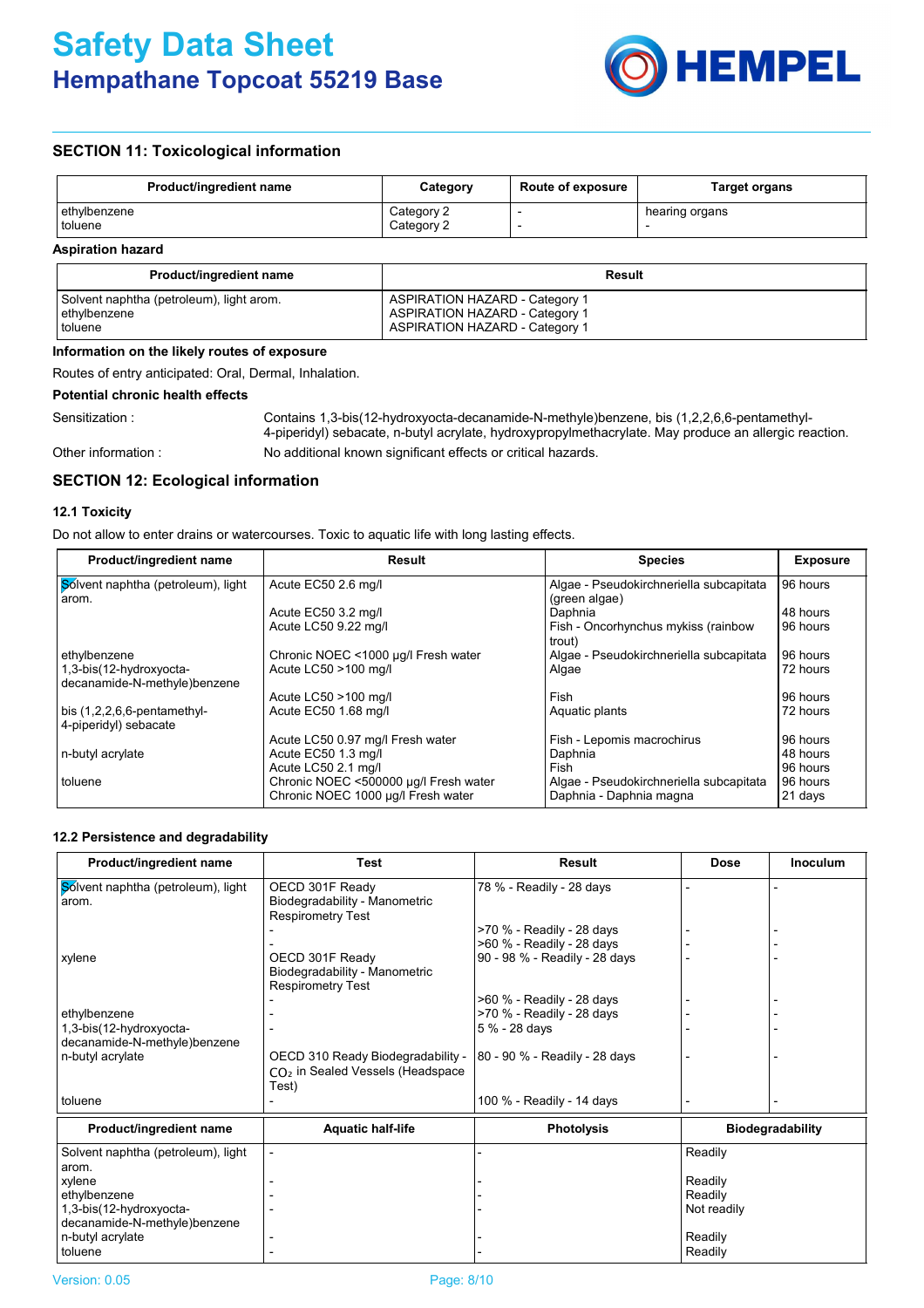

# **SECTION 11: Toxicological information**

| <b>Product/ingredient name</b> | Category                 | <b>Route of exposure</b> | <b>Target organs</b> |
|--------------------------------|--------------------------|--------------------------|----------------------|
| ethylbenzene<br>toluene        | Category 2<br>Category 2 |                          | hearing organs       |

## **Aspiration hazard**

| <b>Product/ingredient name</b>           | Result                                |
|------------------------------------------|---------------------------------------|
| Solvent naphtha (petroleum), light arom. | <b>ASPIRATION HAZARD - Category 1</b> |
| ethylbenzene                             | <b>ASPIRATION HAZARD - Category 1</b> |
| toluene                                  | <b>ASPIRATION HAZARD - Category 1</b> |

## **Information on the likely routes of exposure**

Routes of entry anticipated: Oral, Dermal, Inhalation.

## **Potential chronic health effects**

Other information :

Sensitization : Contains 1,3-bis(12-hydroxyocta-decanamide-N-methyle)benzene, bis (1,2,2,6,6-pentamethyl-4-piperidyl) sebacate, n-butyl acrylate, hydroxypropylmethacrylate. May produce an allergic reaction. No additional known significant effects or critical hazards.

# **SECTION 12: Ecological information**

## **12.1 Toxicity**

Do not allow to enter drains or watercourses. Toxic to aquatic life with long lasting effects.

| Result                              | <b>Species</b>                                                                                                            | <b>Exposure</b>                                                     |
|-------------------------------------|---------------------------------------------------------------------------------------------------------------------------|---------------------------------------------------------------------|
| Acute EC50 2.6 mg/l                 | Algae - Pseudokirchneriella subcapitata                                                                                   | 96 hours                                                            |
|                                     |                                                                                                                           |                                                                     |
|                                     |                                                                                                                           | 48 hours                                                            |
| Acute LC50 9.22 mg/l                | Fish - Oncorhynchus mykiss (rainbow<br>trout)                                                                             | 96 hours                                                            |
| Chronic NOEC <1000 µg/l Fresh water | Algae - Pseudokirchneriella subcapitata                                                                                   | 96 hours                                                            |
| Acute LC50 >100 mg/l                | Algae                                                                                                                     | 72 hours                                                            |
|                                     |                                                                                                                           |                                                                     |
| Acute LC50 >100 mg/l                | Fish                                                                                                                      | 96 hours                                                            |
| Acute EC50 1.68 mg/l                | Aquatic plants                                                                                                            | 72 hours                                                            |
|                                     |                                                                                                                           |                                                                     |
| Acute LC50 0.97 mg/l Fresh water    | Fish - Lepomis macrochirus                                                                                                | 96 hours                                                            |
| Acute EC50 1.3 mg/l                 | Daphnia                                                                                                                   | 48 hours                                                            |
|                                     | Fish                                                                                                                      | 96 hours                                                            |
|                                     |                                                                                                                           | 96 hours                                                            |
|                                     | Daphnia - Daphnia magna                                                                                                   | 21 days                                                             |
|                                     | Acute EC50 3.2 mg/l<br>Acute LC50 2.1 mg/l<br>Chronic NOEC <500000 µg/l Fresh water<br>Chronic NOEC 1000 µg/l Fresh water | (green algae)<br>Daphnia<br>Algae - Pseudokirchneriella subcapitata |

## **12.2 Persistence and degradability**

| <b>Test</b>                                                                  | Result                                                 | <b>Dose</b>                                                     | Inoculum                                                |
|------------------------------------------------------------------------------|--------------------------------------------------------|-----------------------------------------------------------------|---------------------------------------------------------|
| OECD 301F Ready<br>Biodegradability - Manometric                             | 78 % - Readily - 28 days                               |                                                                 |                                                         |
|                                                                              | >70 % - Readily - 28 days<br>>60 % - Readily - 28 days |                                                                 |                                                         |
| OECD 301F Ready<br>Biodegradability - Manometric<br><b>Respirometry Test</b> | 90 - 98 % - Readily - 28 days                          |                                                                 |                                                         |
|                                                                              | >60 % - Readily - 28 days                              |                                                                 |                                                         |
|                                                                              | >70 % - Readily - 28 days                              |                                                                 |                                                         |
|                                                                              | 5 % - 28 days                                          |                                                                 |                                                         |
| $CO2$ in Sealed Vessels (Headspace                                           |                                                        |                                                                 |                                                         |
|                                                                              | 100 % - Readily - 14 days                              |                                                                 |                                                         |
| <b>Aquatic half-life</b>                                                     | <b>Photolysis</b>                                      |                                                                 | <b>Biodegradability</b>                                 |
|                                                                              |                                                        | Readily                                                         |                                                         |
|                                                                              |                                                        |                                                                 |                                                         |
|                                                                              |                                                        |                                                                 |                                                         |
|                                                                              |                                                        |                                                                 |                                                         |
|                                                                              |                                                        |                                                                 |                                                         |
|                                                                              |                                                        |                                                                 |                                                         |
|                                                                              |                                                        |                                                                 |                                                         |
|                                                                              | <b>Respirometry Test</b><br>Test)                      | OECD 310 Ready Biodegradability - 80 - 90 % - Readily - 28 days | Readily<br>Readily<br>Not readily<br>Readily<br>Readily |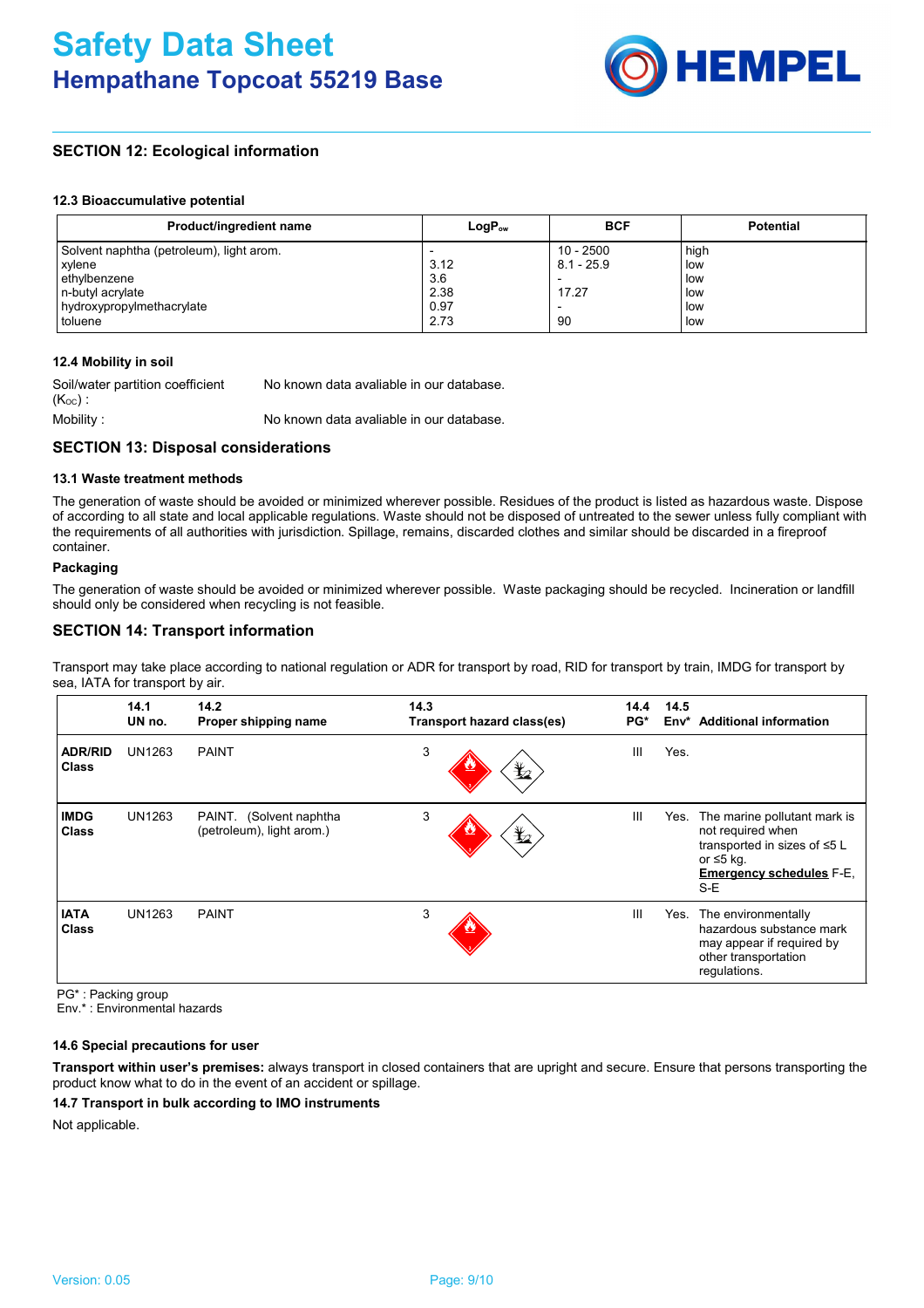

# **SECTION 12: Ecological information**

#### **12.3 Bioaccumulative potential**

| Product/ingredient name                  | $LogP_{ow}$ | <b>BCF</b>               | <b>Potential</b> |
|------------------------------------------|-------------|--------------------------|------------------|
| Solvent naphtha (petroleum), light arom. |             | $10 - 2500$              | high             |
| xylene                                   | 3.12        | $8.1 - 25.9$             | low              |
| ethylbenzene                             | 3.6         | $\overline{\phantom{a}}$ | low              |
| n-butyl acrylate                         | 2.38        | 17.27                    | low              |
| I hydroxypropylmethacrylate              | 0.97        | $\overline{\phantom{a}}$ | low              |
| toluene                                  | 2.73        | 90                       | low              |

## **12.4 Mobility in soil**

| Soil/water partition coefficient | No known data avaliable in our database. |
|----------------------------------|------------------------------------------|
| $(K_{OC})$ :                     |                                          |
| Mobility :                       | No known data avaliable in our database. |

# **SECTION 13: Disposal considerations**

## **13.1 Waste treatment methods**

The generation of waste should be avoided or minimized wherever possible. Residues of the product is listed as hazardous waste. Dispose of according to all state and local applicable regulations. Waste should not be disposed of untreated to the sewer unless fully compliant with the requirements of all authorities with jurisdiction. Spillage, remains, discarded clothes and similar should be discarded in a fireproof container.

# **Packaging**

The generation of waste should be avoided or minimized wherever possible. Waste packaging should be recycled. Incineration or landfill should only be considered when recycling is not feasible.

# **SECTION 14: Transport information**

Transport may take place according to national regulation or ADR for transport by road, RID for transport by train, IMDG for transport by sea, IATA for transport by air.

|                                | 14.1<br>UN no. | 14.2<br>Proper shipping name                         | 14.3<br>Transport hazard class(es) | 14.4<br>PG*    | 14.5<br>Env* | <b>Additional information</b>                                                                                                                  |
|--------------------------------|----------------|------------------------------------------------------|------------------------------------|----------------|--------------|------------------------------------------------------------------------------------------------------------------------------------------------|
| <b>ADR/RID</b><br><b>Class</b> | UN1263         | <b>PAINT</b>                                         | 3<br>盭                             | Ш              | Yes.         |                                                                                                                                                |
| <b>IMDG</b><br><b>Class</b>    | UN1263         | PAINT. (Solvent naphtha<br>(petroleum), light arom.) | 3<br>晢                             | $\mathbf{III}$ | Yes.         | The marine pollutant mark is<br>not required when<br>transported in sizes of ≤5 L<br>or $\leq 5$ kg.<br><b>Emergency schedules F-E.</b><br>S-E |
| <b>IATA</b><br><b>Class</b>    | UN1263         | <b>PAINT</b>                                         | 3                                  | $\mathbf{III}$ | Yes.         | The environmentally<br>hazardous substance mark<br>may appear if required by<br>other transportation<br>regulations.                           |

PG\* : Packing group

Env.\* : Environmental hazards

## **14.6 Special precautions for user**

**Transport within user's premises:** always transport in closed containers that are upright and secure. Ensure that persons transporting the product know what to do in the event of an accident or spillage.

## **14.7 Transport in bulk according to IMO instruments**

Not applicable.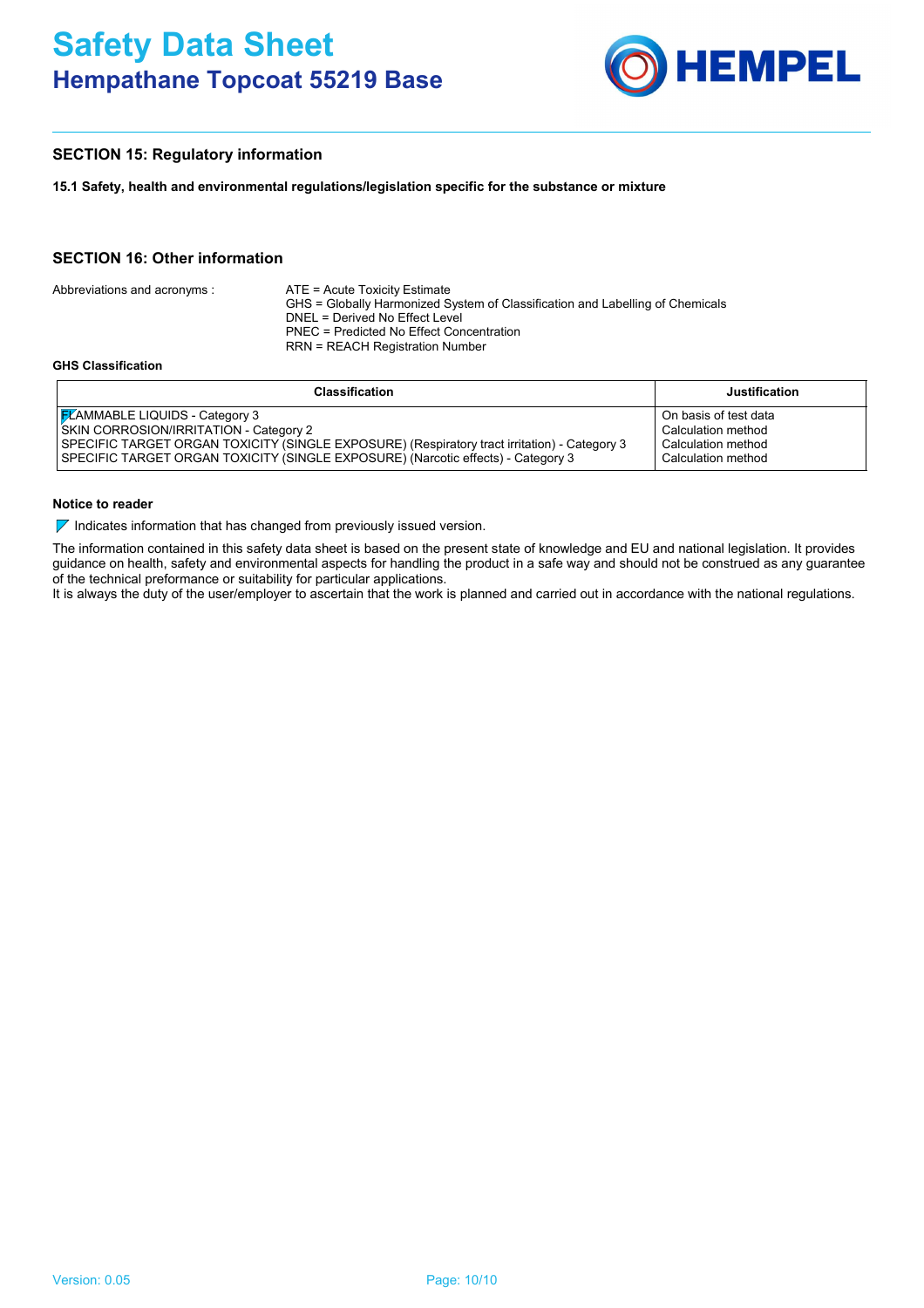

# **SECTION 15: Regulatory information**

**15.1 Safety, health and environmental regulations/legislation specific for the substance or mixture**

# **SECTION 16: Other information**

|                             | <b>Classification</b>                                                                                                                            | Justific |  |
|-----------------------------|--------------------------------------------------------------------------------------------------------------------------------------------------|----------|--|
| <b>GHS Classification</b>   |                                                                                                                                                  |          |  |
|                             | PNEC = Predicted No Effect Concentration<br>RRN = REACH Registration Number                                                                      |          |  |
| Abbreviations and acronyms: | ATE = Acute Toxicity Estimate<br>GHS = Globally Harmonized System of Classification and Labelling of Chemicals<br>DNEL = Derived No Effect Level |          |  |

| <b>Classification</b>                                                                        | <b>Justification</b>  |
|----------------------------------------------------------------------------------------------|-----------------------|
| <b>FLAMMABLE LIQUIDS - Category 3</b>                                                        | On basis of test data |
| <b>SKIN CORROSION/IRRITATION - Category 2</b>                                                | Calculation method    |
| SPECIFIC TARGET ORGAN TOXICITY (SINGLE EXPOSURE) (Respiratory tract irritation) - Category 3 | Calculation method    |
| SPECIFIC TARGET ORGAN TOXICITY (SINGLE EXPOSURE) (Narcotic effects) - Category 3             | Calculation method    |

## **Notice to reader**

 $\nabla$  Indicates information that has changed from previously issued version.

The information contained in this safety data sheet is based on the present state of knowledge and EU and national legislation. It provides guidance on health, safety and environmental aspects for handling the product in a safe way and should not be construed as any guarantee of the technical preformance or suitability for particular applications.

It is always the duty of the user/employer to ascertain that the work is planned and carried out in accordance with the national regulations.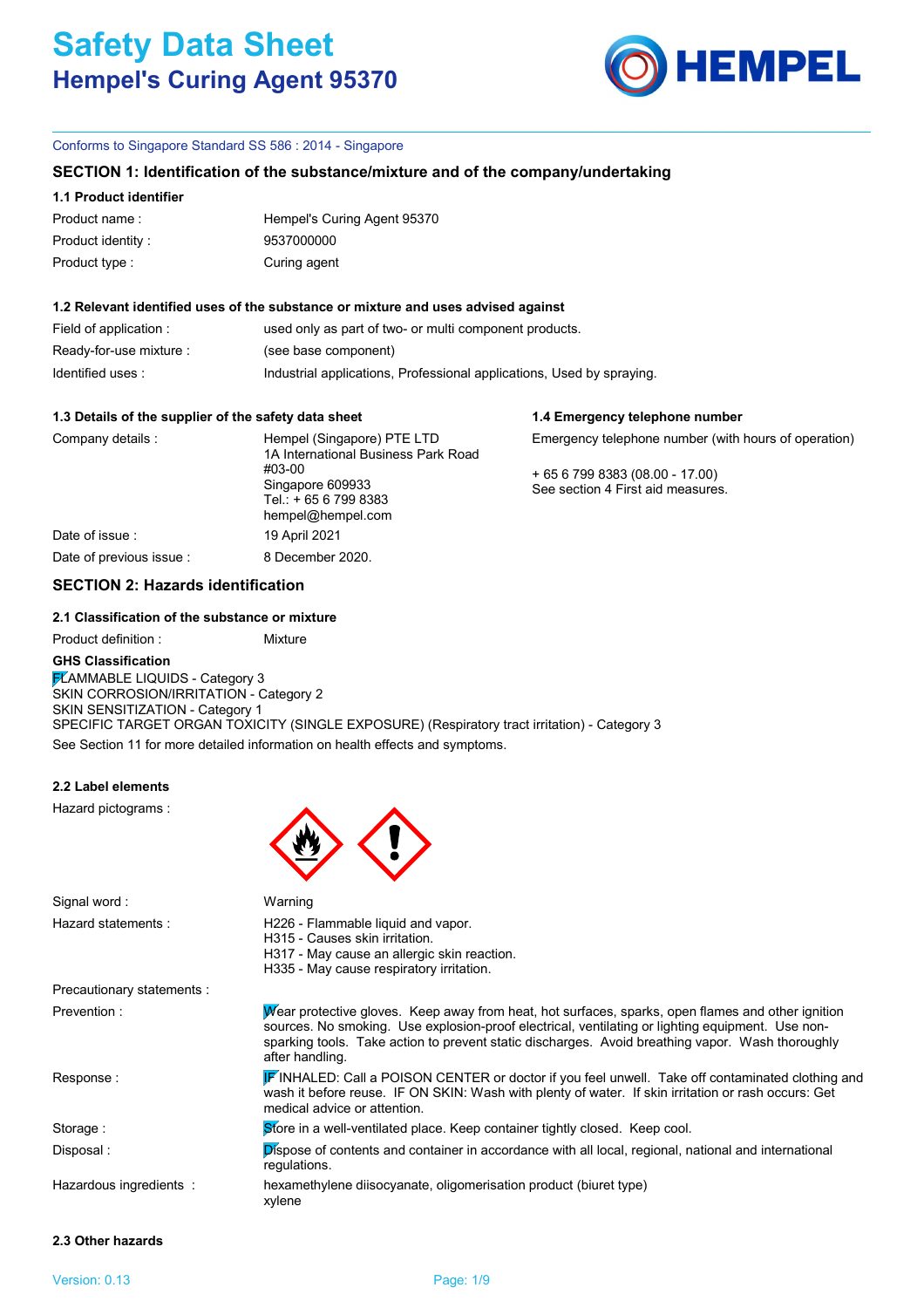

**1.4 Emergency telephone number**

## Conforms to Singapore Standard SS 586 : 2014 - Singapore

## **SECTION 1: Identification of the substance/mixture and of the company/undertaking**

### **1.1 Product identifier**

| Product name:     | Hempel's Curing Agent 95370 |
|-------------------|-----------------------------|
| Product identity: | 9537000000                  |
| Product type :    | Curing agent                |

#### **1.2 Relevant identified uses of the substance or mixture and uses advised against**

| Field of application :  | used only as part of two- or multi component products.                |
|-------------------------|-----------------------------------------------------------------------|
| Ready-for-use mixture : | (see base component)                                                  |
| Identified uses:        | Industrial applications, Professional applications, Used by spraying. |

### **1.3 Details of the supplier of the safety data sheet**

| Company details :        | Hempel (Singapore) PTE LTD<br>1A International Business Park Road       | Emergency telephone number (with hours of operation)              |  |  |
|--------------------------|-------------------------------------------------------------------------|-------------------------------------------------------------------|--|--|
|                          | #03-00<br>Singapore 609933<br>Tel.: +65 6 799 8383<br>hempel@hempel.com | $+6567998383(08.00 - 17.00)$<br>See section 4 First aid measures. |  |  |
| Date of issue:           | 19 April 2021                                                           |                                                                   |  |  |
| Date of previous issue : | 8 December 2020.                                                        |                                                                   |  |  |

# **SECTION 2: Hazards identification**

## **2.1 Classification of the substance or mixture**

See Section 11 for more detailed information on health effects and symptoms. Product definition : Mixture **GHS Classification FLAMMABLE LIQUIDS - Category 3** SKIN CORROSION/IRRITATION - Category 2 SKIN SENSITIZATION - Category 1 SPECIFIC TARGET ORGAN TOXICITY (SINGLE EXPOSURE) (Respiratory tract irritation) - Category 3

### **2.2 Label elements**

Hazard pictograms :



| Warning                                                                                                                                                                                                                                                                                                                      |
|------------------------------------------------------------------------------------------------------------------------------------------------------------------------------------------------------------------------------------------------------------------------------------------------------------------------------|
| H226 - Flammable liquid and vapor.<br>H315 - Causes skin irritation.<br>H317 - May cause an allergic skin reaction.<br>H335 - May cause respiratory irritation.                                                                                                                                                              |
|                                                                                                                                                                                                                                                                                                                              |
| Wear protective gloves. Keep away from heat, hot surfaces, sparks, open flames and other ignition<br>sources. No smoking. Use explosion-proof electrical, ventilating or lighting equipment. Use non-<br>sparking tools. Take action to prevent static discharges. Avoid breathing vapor. Wash thoroughly<br>after handling. |
| <b>F</b> INHALED: Call a POISON CENTER or doctor if you feel unwell. Take off contaminated clothing and<br>wash it before reuse. IF ON SKIN: Wash with plenty of water. If skin irritation or rash occurs: Get<br>medical advice or attention.                                                                               |
| Store in a well-ventilated place. Keep container tightly closed. Keep cool.                                                                                                                                                                                                                                                  |
| <b>Dispose of contents and container in accordance with all local, regional, national and international</b><br>regulations.                                                                                                                                                                                                  |
| hexamethylene diisocyanate, oligomerisation product (biuret type)<br>xylene                                                                                                                                                                                                                                                  |
|                                                                                                                                                                                                                                                                                                                              |

# **2.3 Other hazards**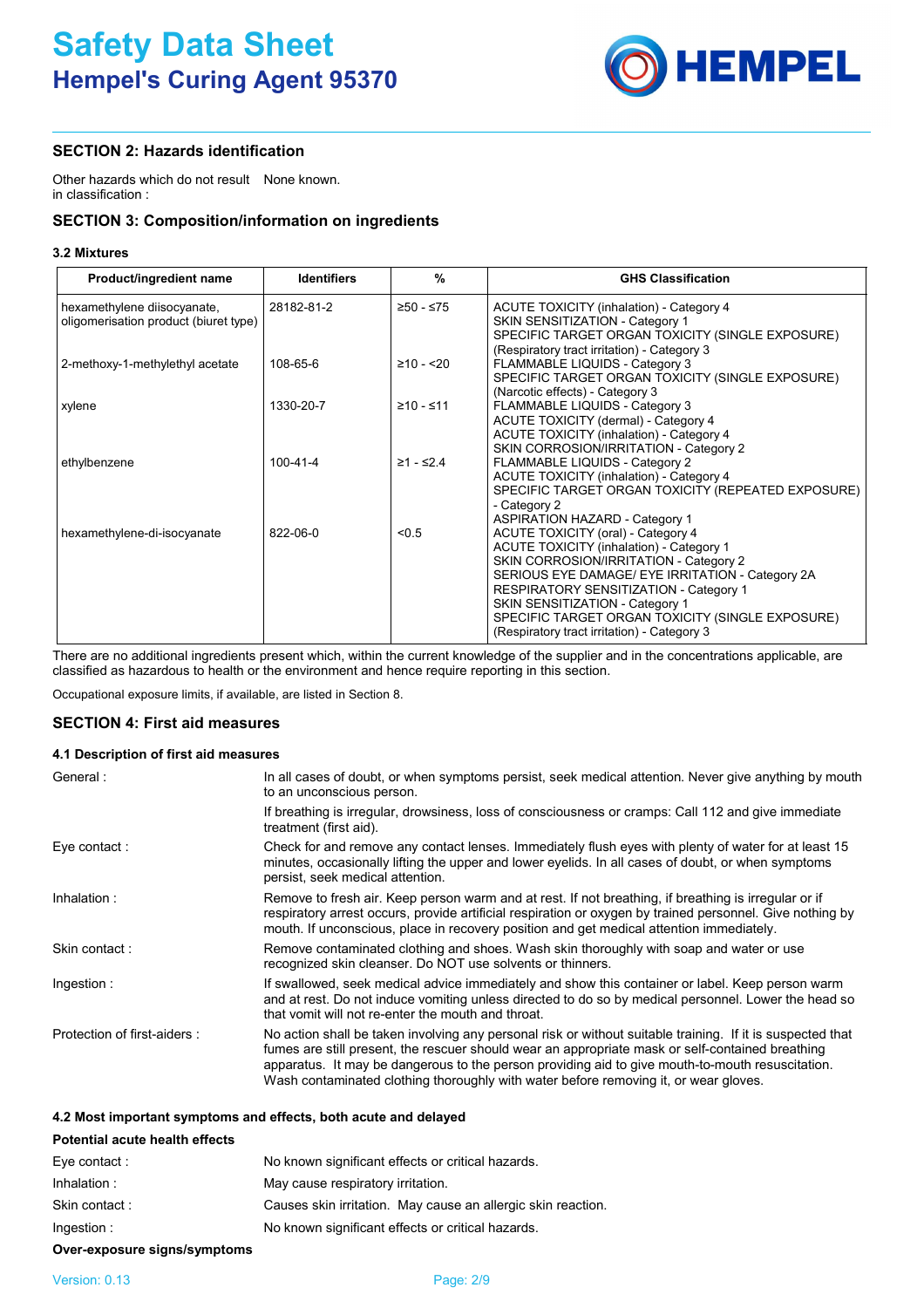

# **SECTION 2: Hazards identification**

Other hazards which do not result None known. in classification :

# **SECTION 3: Composition/information on ingredients**

## **3.2 Mixtures**

| Product/ingredient name               | <b>Identifiers</b> | $\frac{9}{6}$ | <b>GHS Classification</b>                                                           |
|---------------------------------------|--------------------|---------------|-------------------------------------------------------------------------------------|
| hexamethylene diisocyanate,           | 28182-81-2         | ≥50 - ≤75     | ACUTE TOXICITY (inhalation) - Category 4                                            |
| oligomerisation product (biuret type) |                    |               | SKIN SENSITIZATION - Category 1<br>SPECIFIC TARGET ORGAN TOXICITY (SINGLE EXPOSURE) |
|                                       |                    |               | (Respiratory tract irritation) - Category 3                                         |
| 2-methoxy-1-methylethyl acetate       | 108-65-6           | $≥10 - 20$    | FLAMMABLE LIQUIDS - Category 3                                                      |
|                                       |                    |               | SPECIFIC TARGET ORGAN TOXICITY (SINGLE EXPOSURE)                                    |
|                                       |                    |               | (Narcotic effects) - Category 3                                                     |
| xylene                                | 1330-20-7          | $≥10 - ≤11$   | FLAMMABLE LIQUIDS - Category 3<br>ACUTE TOXICITY (dermal) - Category 4              |
|                                       |                    |               | <b>ACUTE TOXICITY (inhalation) - Category 4</b>                                     |
|                                       |                    |               | SKIN CORROSION/IRRITATION - Category 2                                              |
| ethylbenzene                          | $100 - 41 - 4$     | $≥1 - ≤2.4$   | FLAMMABLE LIQUIDS - Category 2                                                      |
|                                       |                    |               | <b>ACUTE TOXICITY (inhalation) - Category 4</b>                                     |
|                                       |                    |               | SPECIFIC TARGET ORGAN TOXICITY (REPEATED EXPOSURE)                                  |
|                                       |                    |               | - Category 2                                                                        |
| hexamethylene-di-isocyanate           | 822-06-0           | < 0.5         | <b>ASPIRATION HAZARD - Category 1</b><br>ACUTE TOXICITY (oral) - Category 4         |
|                                       |                    |               | <b>ACUTE TOXICITY (inhalation) - Category 1</b>                                     |
|                                       |                    |               | SKIN CORROSION/IRRITATION - Category 2                                              |
|                                       |                    |               | SERIOUS EYE DAMAGE/ EYE IRRITATION - Category 2A                                    |
|                                       |                    |               | <b>RESPIRATORY SENSITIZATION - Category 1</b>                                       |
|                                       |                    |               | SKIN SENSITIZATION - Category 1                                                     |
|                                       |                    |               | SPECIFIC TARGET ORGAN TOXICITY (SINGLE EXPOSURE)                                    |
|                                       |                    |               | (Respiratory tract irritation) - Category 3                                         |

There are no additional ingredients present which, within the current knowledge of the supplier and in the concentrations applicable, are classified as hazardous to health or the environment and hence require reporting in this section.

Occupational exposure limits, if available, are listed in Section 8.

# **SECTION 4: First aid measures**

## **4.1 Description of first aid measures**

| General:                    | In all cases of doubt, or when symptoms persist, seek medical attention. Never give anything by mouth<br>to an unconscious person.                                                                                                                                                                                                                                                                         |
|-----------------------------|------------------------------------------------------------------------------------------------------------------------------------------------------------------------------------------------------------------------------------------------------------------------------------------------------------------------------------------------------------------------------------------------------------|
|                             | If breathing is irregular, drowsiness, loss of consciousness or cramps: Call 112 and give immediate<br>treatment (first aid).                                                                                                                                                                                                                                                                              |
| Eye contact :               | Check for and remove any contact lenses. Immediately flush eyes with plenty of water for at least 15<br>minutes, occasionally lifting the upper and lower eyelids. In all cases of doubt, or when symptoms<br>persist, seek medical attention.                                                                                                                                                             |
| Inhalation:                 | Remove to fresh air. Keep person warm and at rest. If not breathing, if breathing is irregular or if<br>respiratory arrest occurs, provide artificial respiration or oxygen by trained personnel. Give nothing by<br>mouth. If unconscious, place in recovery position and get medical attention immediately.                                                                                              |
| Skin contact:               | Remove contaminated clothing and shoes. Wash skin thoroughly with soap and water or use<br>recognized skin cleanser. Do NOT use solvents or thinners.                                                                                                                                                                                                                                                      |
| Ingestion :                 | If swallowed, seek medical advice immediately and show this container or label. Keep person warm<br>and at rest. Do not induce vomiting unless directed to do so by medical personnel. Lower the head so<br>that vomit will not re-enter the mouth and throat.                                                                                                                                             |
| Protection of first-aiders: | No action shall be taken involving any personal risk or without suitable training. If it is suspected that<br>fumes are still present, the rescuer should wear an appropriate mask or self-contained breathing<br>apparatus. It may be dangerous to the person providing aid to give mouth-to-mouth resuscitation.<br>Wash contaminated clothing thoroughly with water before removing it, or wear gloves. |

## **4.2 Most important symptoms and effects, both acute and delayed**

# **Potential acute health effects**

| Eye contact : | No known significant effects or critical hazards.            |
|---------------|--------------------------------------------------------------|
| Inhalation :  | May cause respiratory irritation.                            |
| Skin contact: | Causes skin irritation. May cause an allergic skin reaction. |
| Ingestion :   | No known significant effects or critical hazards.            |

# **Over-exposure signs/symptoms**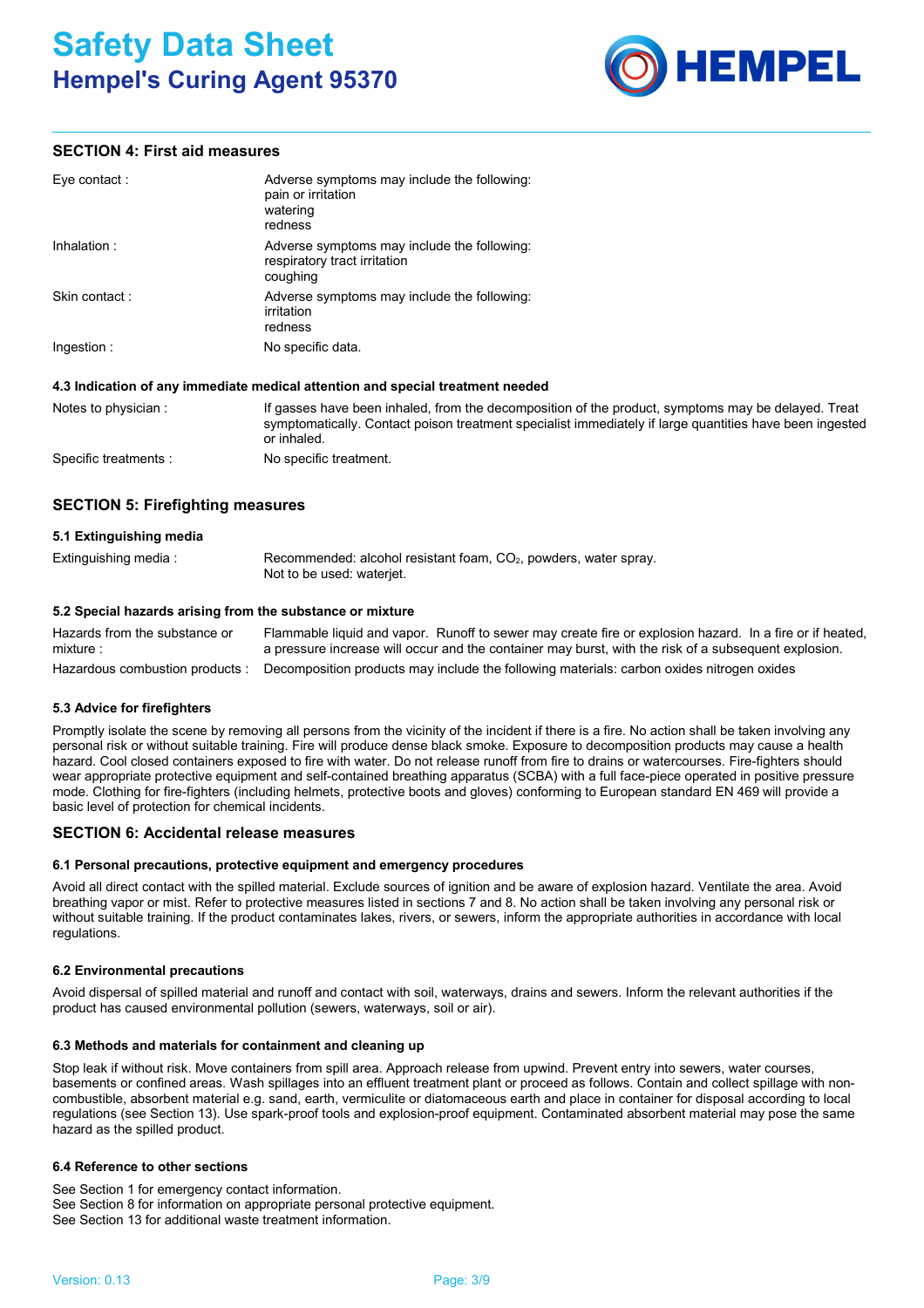

# **SECTION 4: First aid measures**

| Eye contact:   | Adverse symptoms may include the following:<br>pain or irritation<br>watering<br>redness |
|----------------|------------------------------------------------------------------------------------------|
| Inhalation:    | Adverse symptoms may include the following:<br>respiratory tract irritation<br>coughing  |
| Skin contact : | Adverse symptoms may include the following:<br>irritation<br>redness                     |
| Ingestion :    | No specific data.                                                                        |

## **4.3 Indication of any immediate medical attention and special treatment needed**

| Notes to physician :  | If gasses have been inhaled, from the decomposition of the product, symptoms may be delayed. Treat<br>symptomatically. Contact poison treatment specialist immediately if large quantities have been ingested<br>or inhaled. |
|-----------------------|------------------------------------------------------------------------------------------------------------------------------------------------------------------------------------------------------------------------------|
| Specific treatments : | No specific treatment.                                                                                                                                                                                                       |

# **SECTION 5: Firefighting measures**

| 5.1 Extinguishing media |                                                                                                 |
|-------------------------|-------------------------------------------------------------------------------------------------|
| Extinguishing media :   | Recommended: alcohol resistant foam, $CO2$ , powders, water spray.<br>Not to be used: wateriet. |

## **5.2 Special hazards arising from the substance or mixture**

Hazardous combustion products : Decomposition products may include the following materials: carbon oxides nitrogen oxides Hazards from the substance or mixture : Flammable liquid and vapor. Runoff to sewer may create fire or explosion hazard. In a fire or if heated, a pressure increase will occur and the container may burst, with the risk of a subsequent explosion.

## **5.3 Advice for firefighters**

Promptly isolate the scene by removing all persons from the vicinity of the incident if there is a fire. No action shall be taken involving any personal risk or without suitable training. Fire will produce dense black smoke. Exposure to decomposition products may cause a health hazard. Cool closed containers exposed to fire with water. Do not release runoff from fire to drains or watercourses. Fire-fighters should wear appropriate protective equipment and self-contained breathing apparatus (SCBA) with a full face-piece operated in positive pressure mode. Clothing for fire-fighters (including helmets, protective boots and gloves) conforming to European standard EN 469 will provide a basic level of protection for chemical incidents.

# **SECTION 6: Accidental release measures**

## **6.1 Personal precautions, protective equipment and emergency procedures**

Avoid all direct contact with the spilled material. Exclude sources of ignition and be aware of explosion hazard. Ventilate the area. Avoid breathing vapor or mist. Refer to protective measures listed in sections 7 and 8. No action shall be taken involving any personal risk or without suitable training. If the product contaminates lakes, rivers, or sewers, inform the appropriate authorities in accordance with local regulations.

## **6.2 Environmental precautions**

Avoid dispersal of spilled material and runoff and contact with soil, waterways, drains and sewers. Inform the relevant authorities if the product has caused environmental pollution (sewers, waterways, soil or air).

## **6.3 Methods and materials for containment and cleaning up**

Stop leak if without risk. Move containers from spill area. Approach release from upwind. Prevent entry into sewers, water courses, basements or confined areas. Wash spillages into an effluent treatment plant or proceed as follows. Contain and collect spillage with noncombustible, absorbent material e.g. sand, earth, vermiculite or diatomaceous earth and place in container for disposal according to local regulations (see Section 13). Use spark-proof tools and explosion-proof equipment. Contaminated absorbent material may pose the same hazard as the spilled product.

## **6.4 Reference to other sections**

See Section 1 for emergency contact information. See Section 8 for information on appropriate personal protective equipment. See Section 13 for additional waste treatment information.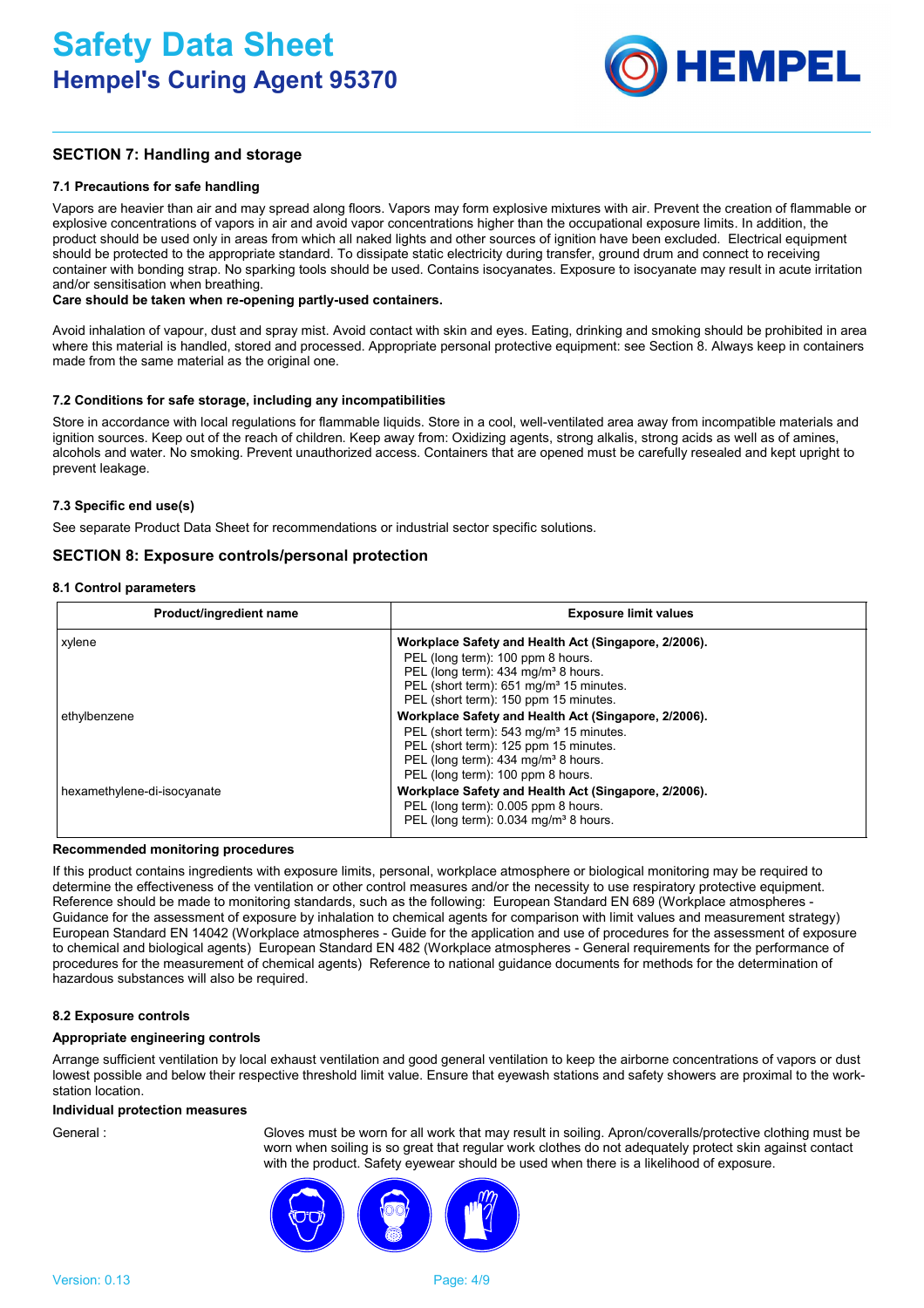

# **SECTION 7: Handling and storage**

## **7.1 Precautions for safe handling**

Vapors are heavier than air and may spread along floors. Vapors may form explosive mixtures with air. Prevent the creation of flammable or explosive concentrations of vapors in air and avoid vapor concentrations higher than the occupational exposure limits. In addition, the product should be used only in areas from which all naked lights and other sources of ignition have been excluded. Electrical equipment should be protected to the appropriate standard. To dissipate static electricity during transfer, ground drum and connect to receiving container with bonding strap. No sparking tools should be used. Contains isocyanates. Exposure to isocyanate may result in acute irritation and/or sensitisation when breathing.

### **Care should be taken when re-opening partly-used containers.**

Avoid inhalation of vapour, dust and spray mist. Avoid contact with skin and eyes. Eating, drinking and smoking should be prohibited in area where this material is handled, stored and processed. Appropriate personal protective equipment: see Section 8. Always keep in containers made from the same material as the original one.

## **7.2 Conditions for safe storage, including any incompatibilities**

Store in accordance with local regulations for flammable liquids. Store in a cool, well-ventilated area away from incompatible materials and ignition sources. Keep out of the reach of children. Keep away from: Oxidizing agents, strong alkalis, strong acids as well as of amines, alcohols and water. No smoking. Prevent unauthorized access. Containers that are opened must be carefully resealed and kept upright to prevent leakage.

## **7.3 Specific end use(s)**

See separate Product Data Sheet for recommendations or industrial sector specific solutions.

## **SECTION 8: Exposure controls/personal protection**

## **8.1 Control parameters**

| Product/ingredient name     | <b>Exposure limit values</b>                                                                                                                                                                                                                 |  |  |
|-----------------------------|----------------------------------------------------------------------------------------------------------------------------------------------------------------------------------------------------------------------------------------------|--|--|
| xylene                      | Workplace Safety and Health Act (Singapore, 2/2006).<br>PEL (long term): 100 ppm 8 hours.<br>PEL (long term): 434 mg/m <sup>3</sup> 8 hours.<br>PEL (short term): 651 mg/m <sup>3</sup> 15 minutes.<br>PEL (short term): 150 ppm 15 minutes. |  |  |
| ethylbenzene                | Workplace Safety and Health Act (Singapore, 2/2006).<br>PEL (short term): 543 mg/m <sup>3</sup> 15 minutes.<br>PEL (short term): 125 ppm 15 minutes.<br>PEL (long term): 434 mg/m <sup>3</sup> 8 hours.<br>PEL (long term): 100 ppm 8 hours. |  |  |
| hexamethylene-di-isocyanate | Workplace Safety and Health Act (Singapore, 2/2006).<br>PEL (long term): 0.005 ppm 8 hours.<br>PEL (long term): 0.034 mg/m <sup>3</sup> 8 hours.                                                                                             |  |  |

#### **Recommended monitoring procedures**

If this product contains ingredients with exposure limits, personal, workplace atmosphere or biological monitoring may be required to determine the effectiveness of the ventilation or other control measures and/or the necessity to use respiratory protective equipment. Reference should be made to monitoring standards, such as the following: European Standard EN 689 (Workplace atmospheres - Guidance for the assessment of exposure by inhalation to chemical agents for comparison with limit values and measurement strategy) European Standard EN 14042 (Workplace atmospheres - Guide for the application and use of procedures for the assessment of exposure to chemical and biological agents) European Standard EN 482 (Workplace atmospheres - General requirements for the performance of procedures for the measurement of chemical agents) Reference to national guidance documents for methods for the determination of hazardous substances will also be required.

#### **8.2 Exposure controls**

#### **Appropriate engineering controls**

Arrange sufficient ventilation by local exhaust ventilation and good general ventilation to keep the airborne concentrations of vapors or dust lowest possible and below their respective threshold limit value. Ensure that eyewash stations and safety showers are proximal to the workstation location.

#### **Individual protection measures**

General : Gloves must be worn for all work that may result in soiling. Apron/coveralls/protective clothing must be worn when soiling is so great that regular work clothes do not adequately protect skin against contact with the product. Safety eyewear should be used when there is a likelihood of exposure.

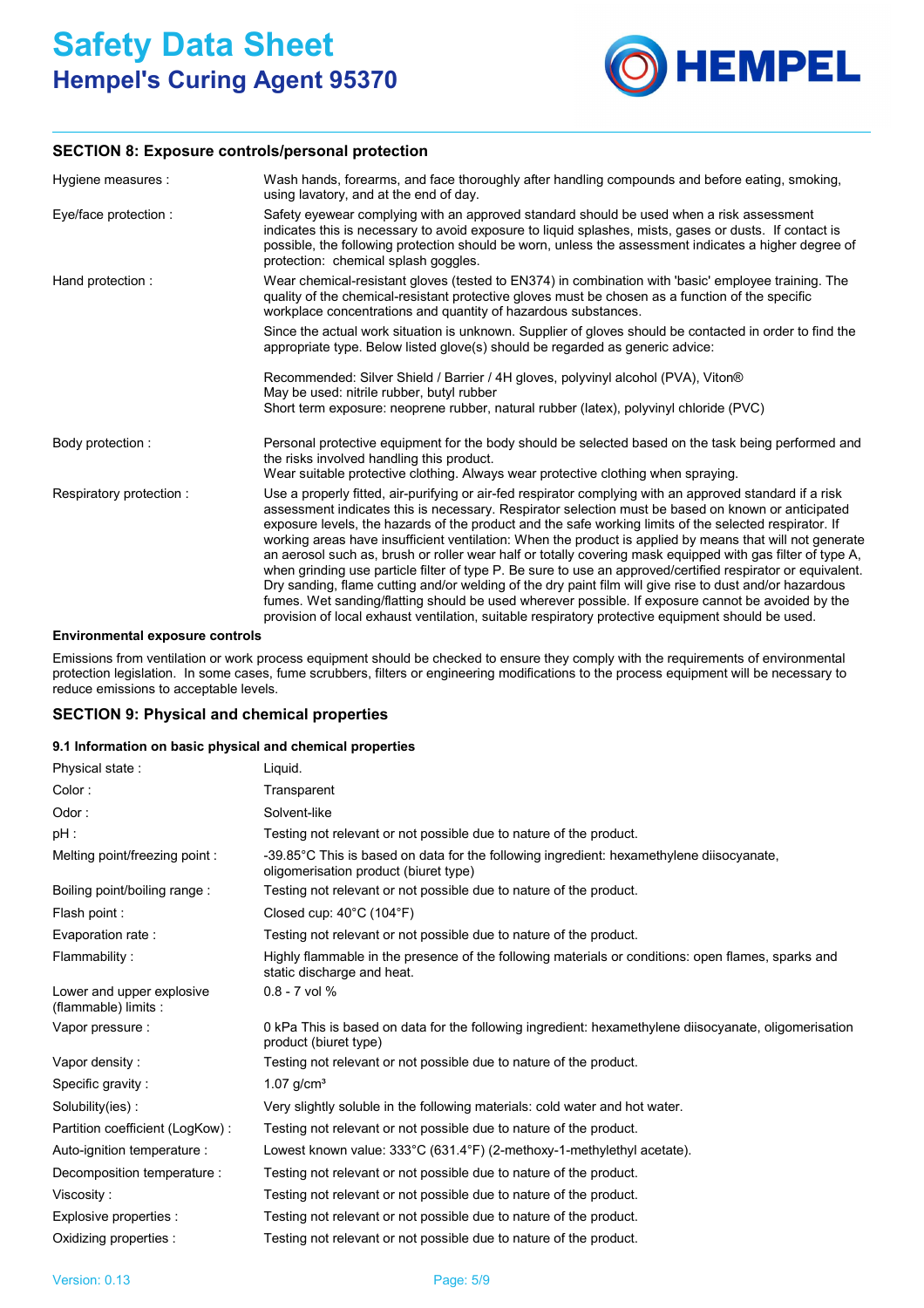

# **SECTION 8: Exposure controls/personal protection**

| Hygiene measures :      | Wash hands, forearms, and face thoroughly after handling compounds and before eating, smoking,<br>using lavatory, and at the end of day.                                                                                                                                                                                                                                                                                                                                                                                                                                                                                                                                                                                                                                                                                                                                                                                                                                                |  |  |
|-------------------------|-----------------------------------------------------------------------------------------------------------------------------------------------------------------------------------------------------------------------------------------------------------------------------------------------------------------------------------------------------------------------------------------------------------------------------------------------------------------------------------------------------------------------------------------------------------------------------------------------------------------------------------------------------------------------------------------------------------------------------------------------------------------------------------------------------------------------------------------------------------------------------------------------------------------------------------------------------------------------------------------|--|--|
| Eye/face protection :   | Safety eyewear complying with an approved standard should be used when a risk assessment<br>indicates this is necessary to avoid exposure to liquid splashes, mists, gases or dusts. If contact is<br>possible, the following protection should be worn, unless the assessment indicates a higher degree of<br>protection: chemical splash goggles.                                                                                                                                                                                                                                                                                                                                                                                                                                                                                                                                                                                                                                     |  |  |
| Hand protection :       | Wear chemical-resistant gloves (tested to EN374) in combination with 'basic' employee training. The<br>quality of the chemical-resistant protective gloves must be chosen as a function of the specific<br>workplace concentrations and quantity of hazardous substances.                                                                                                                                                                                                                                                                                                                                                                                                                                                                                                                                                                                                                                                                                                               |  |  |
|                         | Since the actual work situation is unknown. Supplier of gloves should be contacted in order to find the<br>appropriate type. Below listed glove(s) should be regarded as generic advice:                                                                                                                                                                                                                                                                                                                                                                                                                                                                                                                                                                                                                                                                                                                                                                                                |  |  |
|                         | Recommended: Silver Shield / Barrier / 4H gloves, polyvinyl alcohol (PVA), Viton®<br>May be used: nitrile rubber, butyl rubber<br>Short term exposure: neoprene rubber, natural rubber (latex), polyvinyl chloride (PVC)                                                                                                                                                                                                                                                                                                                                                                                                                                                                                                                                                                                                                                                                                                                                                                |  |  |
|                         |                                                                                                                                                                                                                                                                                                                                                                                                                                                                                                                                                                                                                                                                                                                                                                                                                                                                                                                                                                                         |  |  |
| Body protection:        | Personal protective equipment for the body should be selected based on the task being performed and<br>the risks involved handling this product.                                                                                                                                                                                                                                                                                                                                                                                                                                                                                                                                                                                                                                                                                                                                                                                                                                        |  |  |
|                         | Wear suitable protective clothing. Always wear protective clothing when spraying.                                                                                                                                                                                                                                                                                                                                                                                                                                                                                                                                                                                                                                                                                                                                                                                                                                                                                                       |  |  |
| Respiratory protection: | Use a properly fitted, air-purifying or air-fed respirator complying with an approved standard if a risk<br>assessment indicates this is necessary. Respirator selection must be based on known or anticipated<br>exposure levels, the hazards of the product and the safe working limits of the selected respirator. If<br>working areas have insufficient ventilation: When the product is applied by means that will not generate<br>an aerosol such as, brush or roller wear half or totally covering mask equipped with gas filter of type A,<br>when grinding use particle filter of type P. Be sure to use an approved/certified respirator or equivalent.<br>Dry sanding, flame cutting and/or welding of the dry paint film will give rise to dust and/or hazardous<br>fumes. Wet sanding/flatting should be used wherever possible. If exposure cannot be avoided by the<br>provision of local exhaust ventilation, suitable respiratory protective equipment should be used. |  |  |

#### **Environmental exposure controls**

Emissions from ventilation or work process equipment should be checked to ensure they comply with the requirements of environmental protection legislation. In some cases, fume scrubbers, filters or engineering modifications to the process equipment will be necessary to reduce emissions to acceptable levels.

## **SECTION 9: Physical and chemical properties**

## **9.1 Information on basic physical and chemical properties**

| Physical state:                                   | Liquid.                                                                                                                           |
|---------------------------------------------------|-----------------------------------------------------------------------------------------------------------------------------------|
| Color:                                            | Transparent                                                                                                                       |
| Odor:                                             | Solvent-like                                                                                                                      |
| pH :                                              | Testing not relevant or not possible due to nature of the product.                                                                |
| Melting point/freezing point:                     | -39.85°C This is based on data for the following ingredient: hexamethylene diisocyanate,<br>oligomerisation product (biuret type) |
| Boiling point/boiling range:                      | Testing not relevant or not possible due to nature of the product.                                                                |
| Flash point :                                     | Closed cup: $40^{\circ}$ C (104 $^{\circ}$ F)                                                                                     |
| Evaporation rate:                                 | Testing not relevant or not possible due to nature of the product.                                                                |
| Flammability:                                     | Highly flammable in the presence of the following materials or conditions: open flames, sparks and<br>static discharge and heat.  |
| Lower and upper explosive<br>(flammable) limits : | $0.8 - 7$ vol %                                                                                                                   |
| Vapor pressure :                                  | 0 kPa This is based on data for the following ingredient: hexamethylene diisocyanate, oligomerisation<br>product (biuret type)    |
| Vapor density:                                    | Testing not relevant or not possible due to nature of the product.                                                                |
| Specific gravity:                                 | $1.07$ g/cm <sup>3</sup>                                                                                                          |
| Solubility(ies):                                  | Very slightly soluble in the following materials: cold water and hot water.                                                       |
| Partition coefficient (LogKow):                   | Testing not relevant or not possible due to nature of the product.                                                                |
| Auto-ignition temperature :                       | Lowest known value: 333°C (631.4°F) (2-methoxy-1-methylethyl acetate).                                                            |
| Decomposition temperature :                       | Testing not relevant or not possible due to nature of the product.                                                                |
| Viscosity:                                        | Testing not relevant or not possible due to nature of the product.                                                                |
| Explosive properties :                            | Testing not relevant or not possible due to nature of the product.                                                                |
| Oxidizing properties :                            | Testing not relevant or not possible due to nature of the product.                                                                |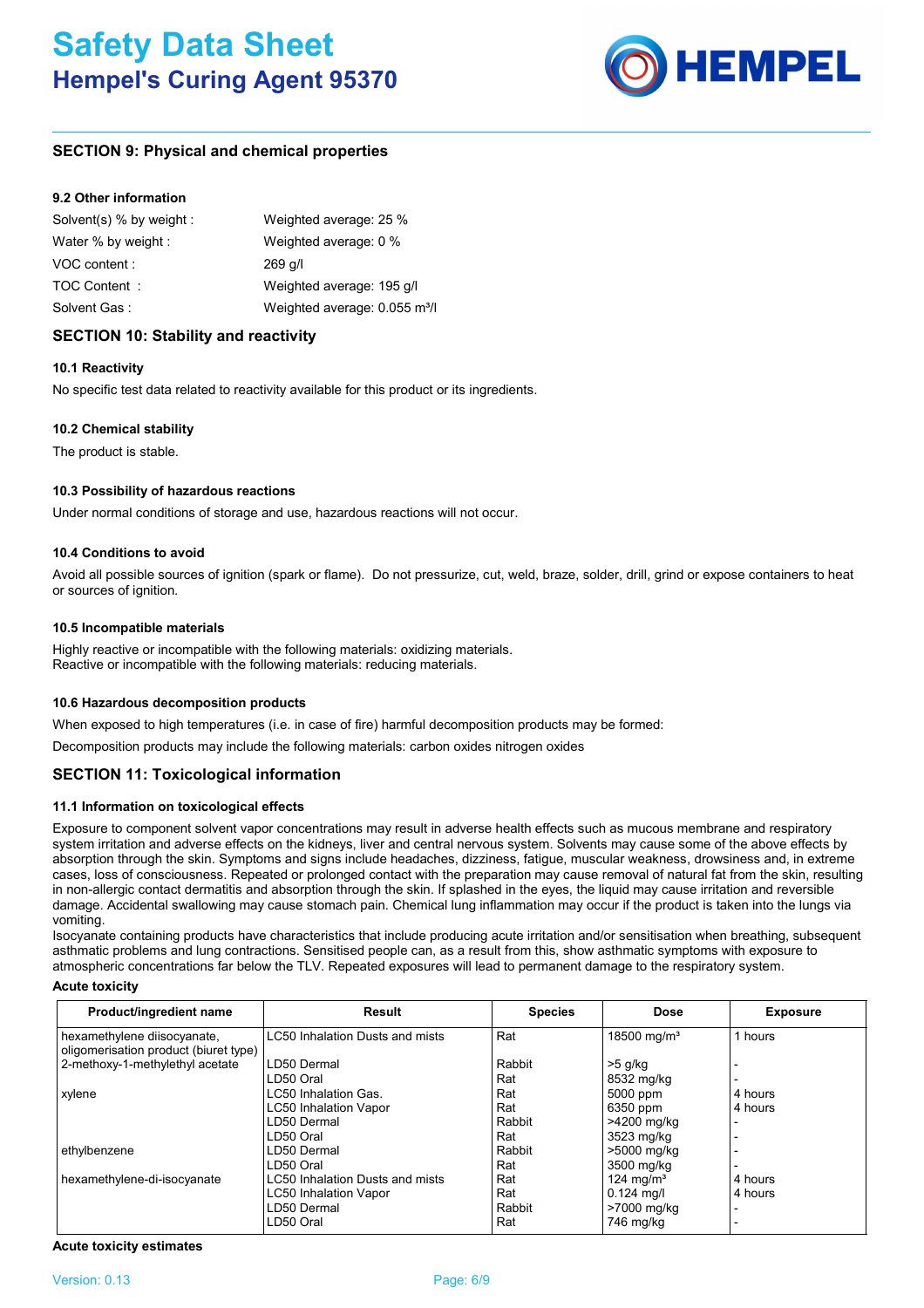

# **SECTION 9: Physical and chemical properties**

## **9.2 Other information**

| Solvent(s) % by weight : | Weighted average: 25 %                    |
|--------------------------|-------------------------------------------|
| Water % by weight :      | Weighted average: 0 %                     |
| VOC content:             | $269$ q/l                                 |
| TOC Content:             | Weighted average: 195 g/l                 |
| Solvent Gas:             | Weighted average: 0.055 m <sup>3</sup> /l |

# **SECTION 10: Stability and reactivity**

## **10.1 Reactivity**

No specific test data related to reactivity available for this product or its ingredients.

## **10.2 Chemical stability**

The product is stable.

## **10.3 Possibility of hazardous reactions**

Under normal conditions of storage and use, hazardous reactions will not occur.

## **10.4 Conditions to avoid**

Avoid all possible sources of ignition (spark or flame). Do not pressurize, cut, weld, braze, solder, drill, grind or expose containers to heat or sources of ignition.

## **10.5 Incompatible materials**

Highly reactive or incompatible with the following materials: oxidizing materials. Reactive or incompatible with the following materials: reducing materials.

## **10.6 Hazardous decomposition products**

When exposed to high temperatures (i.e. in case of fire) harmful decomposition products may be formed:

Decomposition products may include the following materials: carbon oxides nitrogen oxides

# **SECTION 11: Toxicological information**

## **11.1 Information on toxicological effects**

Exposure to component solvent vapor concentrations may result in adverse health effects such as mucous membrane and respiratory system irritation and adverse effects on the kidneys, liver and central nervous system. Solvents may cause some of the above effects by absorption through the skin. Symptoms and signs include headaches, dizziness, fatigue, muscular weakness, drowsiness and, in extreme cases, loss of consciousness. Repeated or prolonged contact with the preparation may cause removal of natural fat from the skin, resulting in non-allergic contact dermatitis and absorption through the skin. If splashed in the eyes, the liquid may cause irritation and reversible damage. Accidental swallowing may cause stomach pain. Chemical lung inflammation may occur if the product is taken into the lungs via vomiting.

Isocyanate containing products have characteristics that include producing acute irritation and/or sensitisation when breathing, subsequent asthmatic problems and lung contractions. Sensitised people can, as a result from this, show asthmatic symptoms with exposure to atmospheric concentrations far below the TLV. Repeated exposures will lead to permanent damage to the respiratory system.

#### **Acute toxicity**

| Product/ingredient name               | Result                                 | <b>Species</b> | <b>Dose</b>             | <b>Exposure</b>          |
|---------------------------------------|----------------------------------------|----------------|-------------------------|--------------------------|
| hexamethylene diisocyanate,           | <b>LC50 Inhalation Dusts and mists</b> | Rat            | 18500 mg/m <sup>3</sup> | 1 hours                  |
| oligomerisation product (biuret type) |                                        |                |                         |                          |
| 2-methoxy-1-methylethyl acetate       | LD50 Dermal                            | Rabbit         | >5 g/kg                 |                          |
|                                       | LD50 Oral                              | Rat            | 8532 mg/kg              |                          |
| xylene                                | LC50 Inhalation Gas.                   | Rat            | 5000 ppm                | 4 hours                  |
|                                       | <b>LC50 Inhalation Vapor</b>           | Rat            | 6350 ppm                | 4 hours                  |
|                                       | LD50 Dermal                            | Rabbit         | >4200 mg/kg             |                          |
|                                       | LD50 Oral                              | Rat            | 3523 mg/kg              |                          |
| ethylbenzene                          | LD50 Dermal                            | Rabbit         | >5000 mg/kg             |                          |
|                                       | LD50 Oral                              | Rat            | 3500 mg/kg              | $\overline{\phantom{0}}$ |
| hexamethylene-di-isocyanate           | LC50 Inhalation Dusts and mists        | Rat            | 124 mg/m <sup>3</sup>   | 4 hours                  |
|                                       | <b>LC50 Inhalation Vapor</b>           | Rat            | $0.124$ mg/l            | 4 hours                  |
|                                       | LD50 Dermal                            | Rabbit         | >7000 mg/kg             |                          |
|                                       | LD50 Oral                              | Rat            | 746 mg/kg               | $\overline{\phantom{0}}$ |

**Acute toxicity estimates**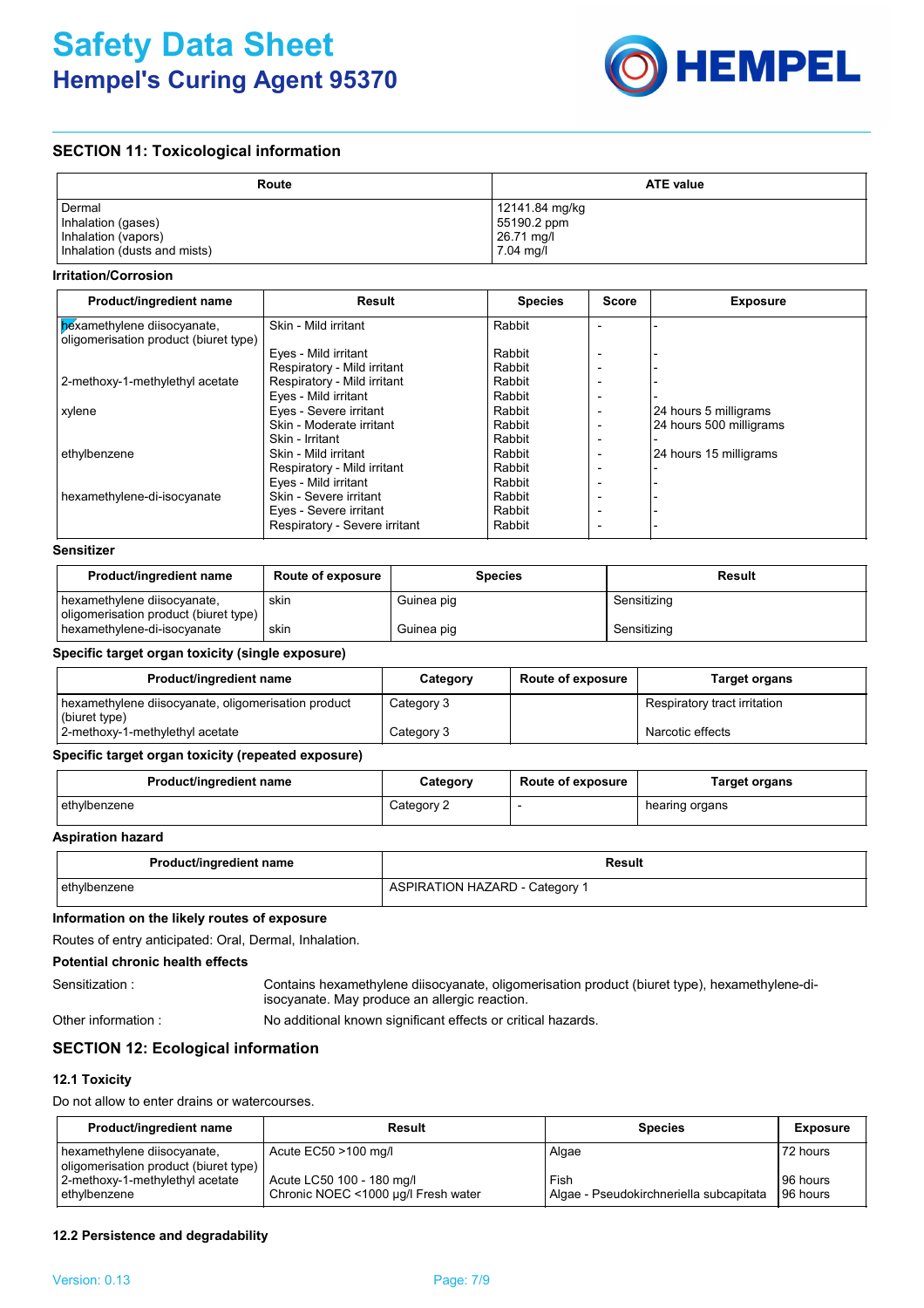

# **SECTION 11: Toxicological information**

| Route                        | <b>ATE value</b> |
|------------------------------|------------------|
| Dermal                       | 12141.84 mg/kg   |
| Inhalation (gases)           | 55190.2 ppm      |
| Inhalation (vapors)          | 26.71 mg/l       |
| Inhalation (dusts and mists) | 7.04 mg/l        |

#### **Irritation/Corrosion**

| Product/ingredient name                                              | Result                        | <b>Species</b> | Score | <b>Exposure</b>         |
|----------------------------------------------------------------------|-------------------------------|----------------|-------|-------------------------|
| bexamethylene diisocyanate,<br>oligomerisation product (biuret type) | Skin - Mild irritant          | Rabbit         |       |                         |
|                                                                      | Eyes - Mild irritant          | Rabbit         |       |                         |
|                                                                      | Respiratory - Mild irritant   | Rabbit         |       |                         |
| 2-methoxy-1-methylethyl acetate                                      | Respiratory - Mild irritant   | Rabbit         |       |                         |
|                                                                      | Eyes - Mild irritant          | Rabbit         |       |                         |
| xylene                                                               | Eyes - Severe irritant        | Rabbit         |       | 24 hours 5 milligrams   |
|                                                                      | Skin - Moderate irritant      | Rabbit         |       | 24 hours 500 milligrams |
|                                                                      | Skin - Irritant               | Rabbit         |       |                         |
| ethylbenzene                                                         | Skin - Mild irritant          | Rabbit         |       | 24 hours 15 milligrams  |
|                                                                      | Respiratory - Mild irritant   | Rabbit         |       |                         |
|                                                                      | Eyes - Mild irritant          | Rabbit         |       |                         |
| hexamethylene-di-isocyanate                                          | Skin - Severe irritant        | Rabbit         |       |                         |
|                                                                      | Eyes - Severe irritant        | Rabbit         |       |                         |
|                                                                      | Respiratory - Severe irritant | Rabbit         |       |                         |

## **Sensitizer**

| Product/ingredient name                                              | <b>Route of exposure</b> | <b>Species</b> | Result      |
|----------------------------------------------------------------------|--------------------------|----------------|-------------|
| hexamethylene diisocyanate,<br>oligomerisation product (biuret type) | skin                     | Guinea pig     | Sensitizing |
| hexamethylene-di-isocyanate                                          | skin                     | Guinea pig     | Sensitizing |

## **Specific target organ toxicity (single exposure)**

| Product/ingredient name                                              | Category   | <b>Route of exposure</b> | Target organs                |
|----------------------------------------------------------------------|------------|--------------------------|------------------------------|
| hexamethylene diisocyanate, oligomerisation product<br>(biuret type) | Category 3 |                          | Respiratory tract irritation |
| 2-methoxy-1-methylethyl acetate                                      | Category 3 |                          | Narcotic effects             |

## **Specific target organ toxicity (repeated exposure)**

| Product/ingredient name | Category   | <b>Route of exposure</b> | Target organs  |
|-------------------------|------------|--------------------------|----------------|
| ethylbenzene            | Category 2 |                          | hearing organs |

#### **Aspiration hazard**

| Product/ingredient name | Result                                |
|-------------------------|---------------------------------------|
| ethylbenzene            | <b>ASPIRATION HAZARD - Category 1</b> |

#### **Information on the likely routes of exposure**

Routes of entry anticipated: Oral, Dermal, Inhalation.

# **Potential chronic health effects**

Sensitization : Contains hexamethylene diisocyanate, oligomerisation product (biuret type), hexamethylene-diisocyanate. May produce an allergic reaction.

Other information :

No additional known significant effects or critical hazards.

## **SECTION 12: Ecological information**

## **12.1 Toxicity**

Do not allow to enter drains or watercourses.

| <b>Product/ingredient name</b>                                       | Result                                                           | <b>Species</b>                                  | <b>Exposure</b>      |
|----------------------------------------------------------------------|------------------------------------------------------------------|-------------------------------------------------|----------------------|
| hexamethylene diisocyanate,<br>oligomerisation product (biuret type) | Acute EC50 >100 mg/l                                             | Algae                                           | 72 hours             |
| 2-methoxy-1-methylethyl acetate<br>l ethvlbenzene                    | Acute LC50 100 - 180 mg/l<br>Chronic NOEC <1000 µg/l Fresh water | Fish<br>Algae - Pseudokirchneriella subcapitata | 96 hours<br>96 hours |

# **12.2 Persistence and degradability**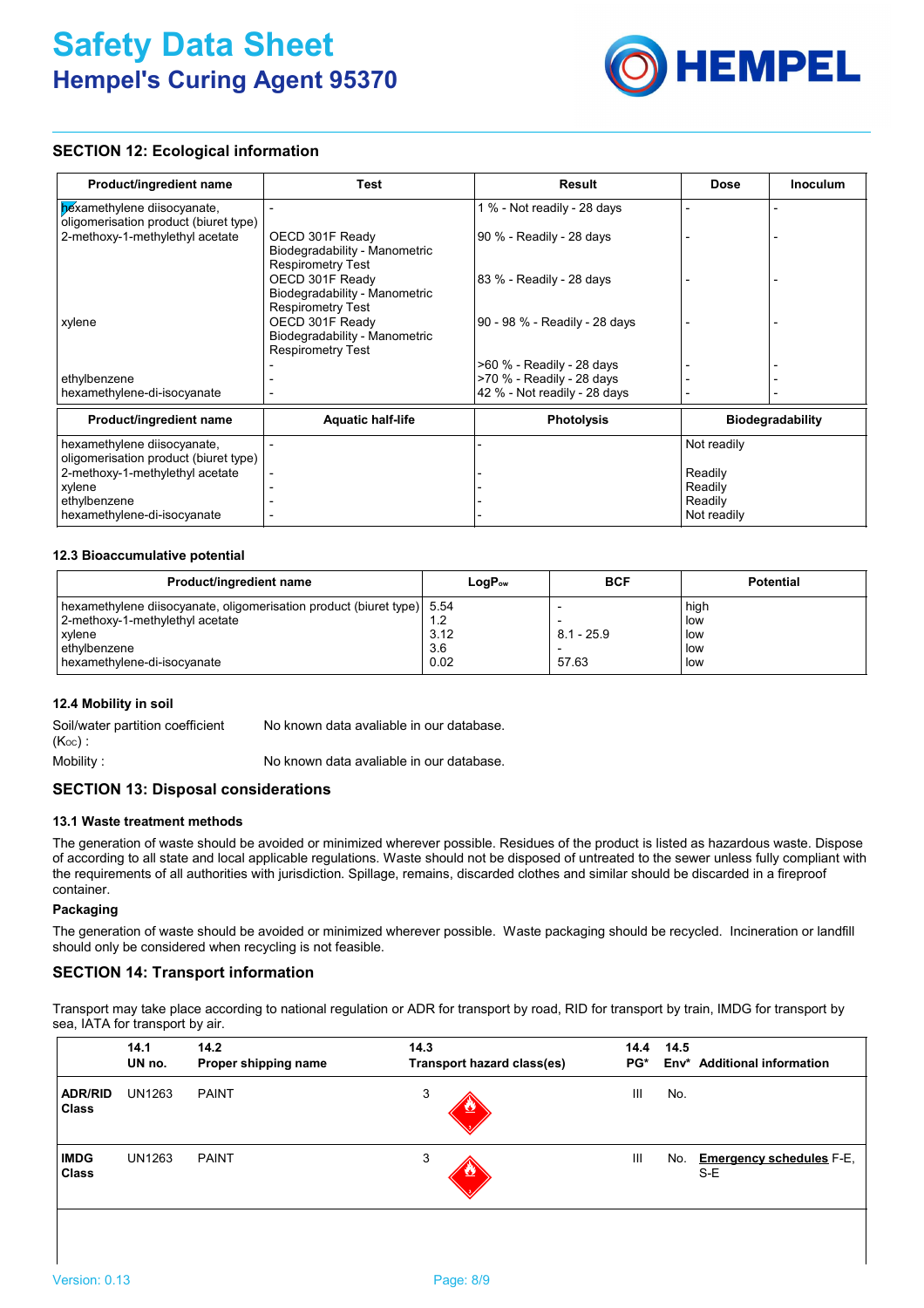

# **SECTION 12: Ecological information**

| Product/ingredient name                                              | <b>Test</b>                                                                  | Result                        | <b>Dose</b> | <b>Inoculum</b>  |
|----------------------------------------------------------------------|------------------------------------------------------------------------------|-------------------------------|-------------|------------------|
| bexamethylene diisocyanate,<br>oligomerisation product (biuret type) |                                                                              | 1 % - Not readily - 28 days   |             |                  |
| 2-methoxy-1-methylethyl acetate                                      | OECD 301F Ready<br>Biodegradability - Manometric<br><b>Respirometry Test</b> | 90 % - Readily - 28 days      |             |                  |
|                                                                      | OECD 301F Ready<br>Biodegradability - Manometric<br><b>Respirometry Test</b> | 83 % - Readily - 28 days      |             |                  |
| xylene                                                               | OECD 301F Ready<br>Biodegradability - Manometric<br><b>Respirometry Test</b> | 90 - 98 % - Readily - 28 days |             |                  |
|                                                                      |                                                                              | >60 % - Readily - 28 days     |             |                  |
| ethylbenzene                                                         |                                                                              | >70 % - Readily - 28 days     |             |                  |
| hexamethylene-di-isocyanate                                          |                                                                              | 42 % - Not readily - 28 days  |             |                  |
| Product/ingredient name                                              | <b>Aquatic half-life</b>                                                     | <b>Photolysis</b>             |             | Biodegradability |
| hexamethylene diisocyanate,<br>oligomerisation product (biuret type) |                                                                              |                               | Not readily |                  |
| 2-methoxy-1-methylethyl acetate                                      |                                                                              |                               | Readily     |                  |
| xylene                                                               |                                                                              |                               | Readily     |                  |
| ethylbenzene                                                         |                                                                              |                               | Readily     |                  |
| hexamethylene-di-isocyanate                                          |                                                                              |                               | Not readily |                  |

## **12.3 Bioaccumulative potential**

| Product/ingredient name                                                 | $LogP_{ow}$ | <b>BCF</b>   | <b>Potential</b> |
|-------------------------------------------------------------------------|-------------|--------------|------------------|
| hexamethylene diisocyanate, oligomerisation product (biuret type)  5.54 |             |              | high             |
| 2-methoxy-1-methylethyl acetate                                         | 1.2         |              | low              |
| xylene                                                                  | 3.12        | $8.1 - 25.9$ | low              |
| ethylbenzene                                                            | 3.6         |              | low              |
| hexamethylene-di-isocyanate                                             | 0.02        | 57.63        | low              |

## **12.4 Mobility in soil**

| Soil/water partition coefficient | No known data avaliable in our database. |
|----------------------------------|------------------------------------------|
| $(K_{OC})$ :                     |                                          |
| Mobility:                        | No known data avaliable in our database. |

## **SECTION 13: Disposal considerations**

#### **13.1 Waste treatment methods**

The generation of waste should be avoided or minimized wherever possible. Residues of the product is listed as hazardous waste. Dispose of according to all state and local applicable regulations. Waste should not be disposed of untreated to the sewer unless fully compliant with the requirements of all authorities with jurisdiction. Spillage, remains, discarded clothes and similar should be discarded in a fireproof container.

#### **Packaging**

The generation of waste should be avoided or minimized wherever possible. Waste packaging should be recycled. Incineration or landfill should only be considered when recycling is not feasible.

# **SECTION 14: Transport information**

Transport may take place according to national regulation or ADR for transport by road, RID for transport by train, IMDG for transport by sea, IATA for transport by air.

| <b>Additional information</b>          | 14.5<br>Env* | 14.4<br>PG* | 14.3<br>Transport hazard class(es) | 14.2<br>Proper shipping name | 14.1<br>UN no. |                                |
|----------------------------------------|--------------|-------------|------------------------------------|------------------------------|----------------|--------------------------------|
|                                        | No.          | Ш           | 3                                  | <b>PAINT</b>                 | <b>UN1263</b>  | <b>ADR/RID</b><br><b>Class</b> |
| <b>Emergency schedules F-E.</b><br>S-E | No.          | III         | 3                                  | <b>PAINT</b>                 | <b>UN1263</b>  | <b>IMDG</b><br><b>Class</b>    |
|                                        |              |             |                                    |                              |                |                                |